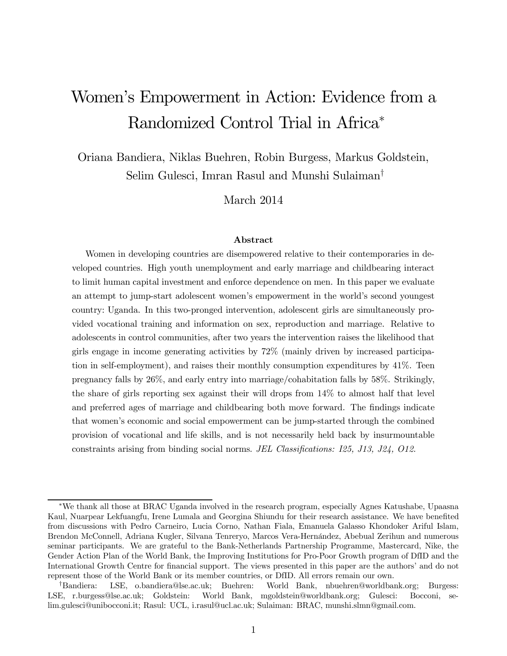# Women's Empowerment in Action: Evidence from a Randomized Control Trial in Africa<sup>\*</sup>

Oriana Bandiera, Niklas Buehren, Robin Burgess, Markus Goldstein, Selim Gulesci, Imran Rasul and Munshi Sulaiman<sup>†</sup>

March 2014

#### Abstract

Women in developing countries are disempowered relative to their contemporaries in developed countries. High youth unemployment and early marriage and childbearing interact to limit human capital investment and enforce dependence on men. In this paper we evaluate an attempt to jump-start adolescent women's empowerment in the world's second youngest country: Uganda. In this two-pronged intervention, adolescent girls are simultaneously provided vocational training and information on sex, reproduction and marriage. Relative to adolescents in control communities, after two years the intervention raises the likelihood that girls engage in income generating activities by 72% (mainly driven by increased participation in self-employment), and raises their monthly consumption expenditures by 41%. Teen pregnancy falls by 26%, and early entry into marriage/cohabitation falls by 58%. Strikingly, the share of girls reporting sex against their will drops from 14% to almost half that level and preferred ages of marriage and childbearing both move forward. The findings indicate that women's economic and social empowerment can be jump-started through the combined provision of vocational and life skills, and is not necessarily held back by insurmountable constraints arising from binding social norms. *JEL Classifications: 125, J13, J24, O12.* 

<sup>¤</sup>We thank all those at BRAC Uganda involved in the research program, especially Agnes Katushabe, Upaasna Kaul, Nuarpear Lekfuangfu, Irene Lumala and Georgina Shiundu for their research assistance. We have benefited from discussions with Pedro Carneiro, Lucia Corno, Nathan Fiala, Emanuela Galasso Khondoker Ariful Islam, Brendon McConnell, Adriana Kugler, Silvana Tenreryo, Marcos Vera-Hernández, Abebual Zerihun and numerous seminar participants. We are grateful to the Bank-Netherlands Partnership Programme, Mastercard, Nike, the Gender Action Plan of the World Bank, the Improving Institutions for Pro-Poor Growth program of DfID and the International Growth Centre for financial support. The views presented in this paper are the authors' and do not represent those of the World Bank or its member countries, or DfID. All errors remain our own.

yBandiera: LSE, o.bandiera@lse.ac.uk; Buehren: World Bank, nbuehren@worldbank.org; Burgess: LSE, r.burgess@lse.ac.uk; Goldstein: World Bank, mgoldstein@worldbank.org; Gulesci: Bocconi, selim.gulesci@unibocconi.it; Rasul: UCL, i.rasul@ucl.ac.uk; Sulaiman: BRAC, munshi.slmn@gmail.com.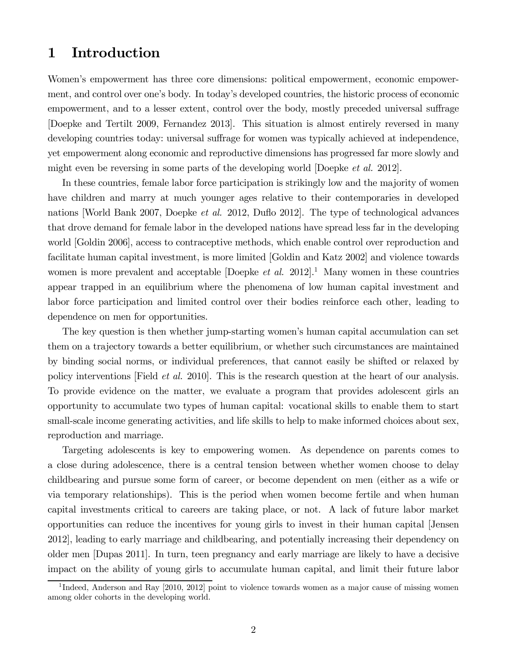## 1 Introduction

Women's empowerment has three core dimensions: political empowerment, economic empowerment, and control over one's body. In today's developed countries, the historic process of economic empowerment, and to a lesser extent, control over the body, mostly preceded universal suffrage [Doepke and Tertilt 2009, Fernandez 2013]. This situation is almost entirely reversed in many developing countries today: universal suffrage for women was typically achieved at independence, yet empowerment along economic and reproductive dimensions has progressed far more slowly and might even be reversing in some parts of the developing world [Doepke *et al.* 2012].

In these countries, female labor force participation is strikingly low and the majority of women have children and marry at much younger ages relative to their contemporaries in developed nations [World Bank 2007, Doepke *et al.* 2012, Duflo 2012]. The type of technological advances that drove demand for female labor in the developed nations have spread less far in the developing world [Goldin 2006], access to contraceptive methods, which enable control over reproduction and facilitate human capital investment, is more limited [Goldin and Katz 2002] and violence towards women is more prevalent and acceptable  $[Doepke~et~al.~2012].<sup>1</sup>$  Many women in these countries appear trapped in an equilibrium where the phenomena of low human capital investment and labor force participation and limited control over their bodies reinforce each other, leading to dependence on men for opportunities.

The key question is then whether jump-starting women's human capital accumulation can set them on a trajectory towards a better equilibrium, or whether such circumstances are maintained by binding social norms, or individual preferences, that cannot easily be shifted or relaxed by policy interventions [Field *et al.* 2010]. This is the research question at the heart of our analysis. To provide evidence on the matter, we evaluate a program that provides adolescent girls an opportunity to accumulate two types of human capital: vocational skills to enable them to start small-scale income generating activities, and life skills to help to make informed choices about sex, reproduction and marriage.

Targeting adolescents is key to empowering women. As dependence on parents comes to a close during adolescence, there is a central tension between whether women choose to delay childbearing and pursue some form of career, or become dependent on men (either as a wife or via temporary relationships). This is the period when women become fertile and when human capital investments critical to careers are taking place, or not. A lack of future labor market opportunities can reduce the incentives for young girls to invest in their human capital [Jensen 2012], leading to early marriage and childbearing, and potentially increasing their dependency on older men [Dupas 2011]. In turn, teen pregnancy and early marriage are likely to have a decisive impact on the ability of young girls to accumulate human capital, and limit their future labor

<sup>&</sup>lt;sup>1</sup>Indeed, Anderson and Ray [2010, 2012] point to violence towards women as a major cause of missing women among older cohorts in the developing world.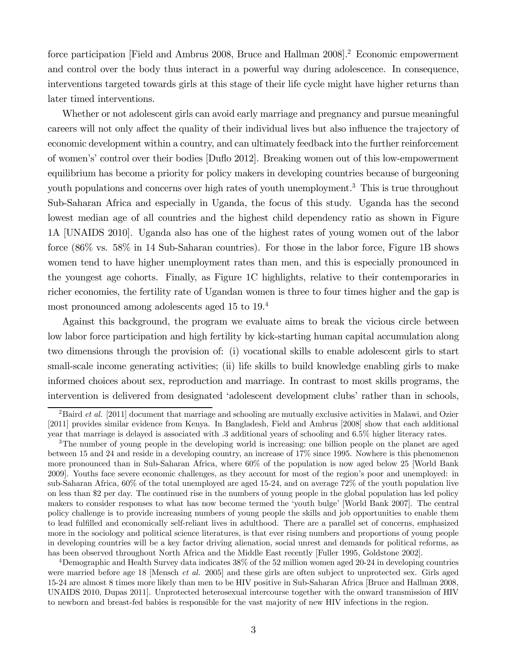force participation [Field and Ambrus 2008, Bruce and Hallman 2008].<sup>2</sup> Economic empowerment and control over the body thus interact in a powerful way during adolescence. In consequence, interventions targeted towards girls at this stage of their life cycle might have higher returns than later timed interventions.

Whether or not adolescent girls can avoid early marriage and pregnancy and pursue meaningful careers will not only affect the quality of their individual lives but also influence the trajectory of economic development within a country, and can ultimately feedback into the further reinforcement of women's' control over their bodies [Du‡o 2012]. Breaking women out of this low-empowerment equilibrium has become a priority for policy makers in developing countries because of burgeoning youth populations and concerns over high rates of youth unemployment.<sup>3</sup> This is true throughout Sub-Saharan Africa and especially in Uganda, the focus of this study. Uganda has the second lowest median age of all countries and the highest child dependency ratio as shown in Figure 1A [UNAIDS 2010]. Uganda also has one of the highest rates of young women out of the labor force (86% vs. 58% in 14 Sub-Saharan countries). For those in the labor force, Figure 1B shows women tend to have higher unemployment rates than men, and this is especially pronounced in the youngest age cohorts. Finally, as Figure 1C highlights, relative to their contemporaries in richer economies, the fertility rate of Ugandan women is three to four times higher and the gap is most pronounced among adolescents aged 15 to 19.<sup>4</sup>

Against this background, the program we evaluate aims to break the vicious circle between low labor force participation and high fertility by kick-starting human capital accumulation along two dimensions through the provision of: (i) vocational skills to enable adolescent girls to start small-scale income generating activities; (ii) life skills to build knowledge enabling girls to make informed choices about sex, reproduction and marriage. In contrast to most skills programs, the intervention is delivered from designated 'adolescent development clubs' rather than in schools,

<sup>4</sup>Demographic and Health Survey data indicates 38% of the 52 million women aged 20-24 in developing countries were married before age 18 [Mensch *et al.* 2005] and these girls are often subject to unprotected sex. Girls aged 15-24 are almost 8 times more likely than men to be HIV positive in Sub-Saharan Africa [Bruce and Hallman 2008, UNAIDS 2010, Dupas 2011]. Unprotected heterosexual intercourse together with the onward transmission of HIV to newborn and breast-fed babies is responsible for the vast majority of new HIV infections in the region.

<sup>&</sup>lt;sup>2</sup>Baird *et al.* [2011] document that marriage and schooling are mutually exclusive activities in Malawi, and Ozier [2011] provides similar evidence from Kenya. In Bangladesh, Field and Ambrus [2008] show that each additional year that marriage is delayed is associated with .3 additional years of schooling and 6.5% higher literacy rates.

<sup>&</sup>lt;sup>3</sup>The number of young people in the developing world is increasing: one billion people on the planet are aged between 15 and 24 and reside in a developing country, an increase of 17% since 1995. Nowhere is this phenomenon more pronounced than in Sub-Saharan Africa, where 60% of the population is now aged below 25 [World Bank 2009]. Youths face severe economic challenges, as they account for most of the region's poor and unemployed: in sub-Saharan Africa, 60% of the total unemployed are aged 15-24, and on average 72% of the youth population live on less than \$2 per day. The continued rise in the numbers of young people in the global population has led policy makers to consider responses to what has now become termed the 'youth bulge' [World Bank 2007]. The central policy challenge is to provide increasing numbers of young people the skills and job opportunities to enable them to lead fulfilled and economically self-reliant lives in adulthood. There are a parallel set of concerns, emphasized more in the sociology and political science literatures, is that ever rising numbers and proportions of young people in developing countries will be a key factor driving alienation, social unrest and demands for political reforms, as has been observed throughout North Africa and the Middle East recently [Fuller 1995, Goldstone 2002].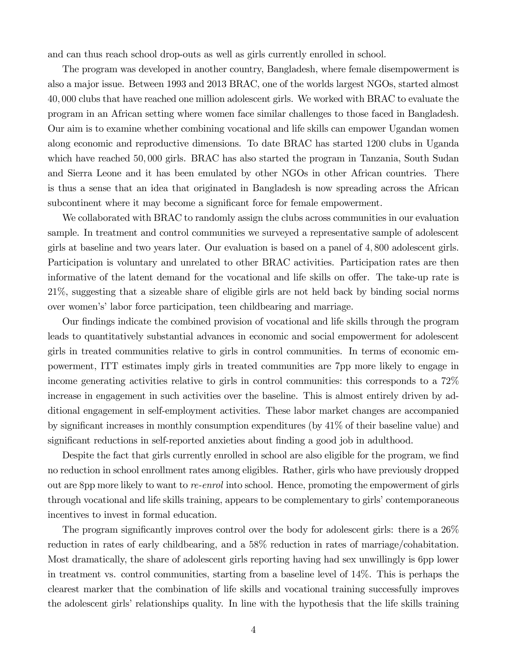and can thus reach school drop-outs as well as girls currently enrolled in school.

The program was developed in another country, Bangladesh, where female disempowerment is also a major issue. Between 1993 and 2013 BRAC, one of the worlds largest NGOs, started almost 40 000 clubs that have reached one million adolescent girls. We worked with BRAC to evaluate the program in an African setting where women face similar challenges to those faced in Bangladesh. Our aim is to examine whether combining vocational and life skills can empower Ugandan women along economic and reproductive dimensions. To date BRAC has started 1200 clubs in Uganda which have reached 50,000 girls. BRAC has also started the program in Tanzania, South Sudan and Sierra Leone and it has been emulated by other NGOs in other African countries. There is thus a sense that an idea that originated in Bangladesh is now spreading across the African subcontinent where it may become a significant force for female empowerment.

We collaborated with BRAC to randomly assign the clubs across communities in our evaluation sample. In treatment and control communities we surveyed a representative sample of adolescent girls at baseline and two years later. Our evaluation is based on a panel of 4 800 adolescent girls. Participation is voluntary and unrelated to other BRAC activities. Participation rates are then informative of the latent demand for the vocational and life skills on offer. The take-up rate is 21%, suggesting that a sizeable share of eligible girls are not held back by binding social norms over women's' labor force participation, teen childbearing and marriage.

Our findings indicate the combined provision of vocational and life skills through the program leads to quantitatively substantial advances in economic and social empowerment for adolescent girls in treated communities relative to girls in control communities. In terms of economic empowerment, ITT estimates imply girls in treated communities are 7pp more likely to engage in income generating activities relative to girls in control communities: this corresponds to a 72% increase in engagement in such activities over the baseline. This is almost entirely driven by additional engagement in self-employment activities. These labor market changes are accompanied by significant increases in monthly consumption expenditures (by  $41\%$  of their baseline value) and significant reductions in self-reported anxieties about finding a good job in adulthood.

Despite the fact that girls currently enrolled in school are also eligible for the program, we find no reduction in school enrollment rates among eligibles. Rather, girls who have previously dropped out are 8pp more likely to want to *re-enrol* into school. Hence, promoting the empowerment of girls through vocational and life skills training, appears to be complementary to girls' contemporaneous incentives to invest in formal education.

The program significantly improves control over the body for adolescent girls: there is a  $26\%$ reduction in rates of early childbearing, and a 58% reduction in rates of marriage/cohabitation. Most dramatically, the share of adolescent girls reporting having had sex unwillingly is 6pp lower in treatment vs. control communities, starting from a baseline level of 14%. This is perhaps the clearest marker that the combination of life skills and vocational training successfully improves the adolescent girls' relationships quality. In line with the hypothesis that the life skills training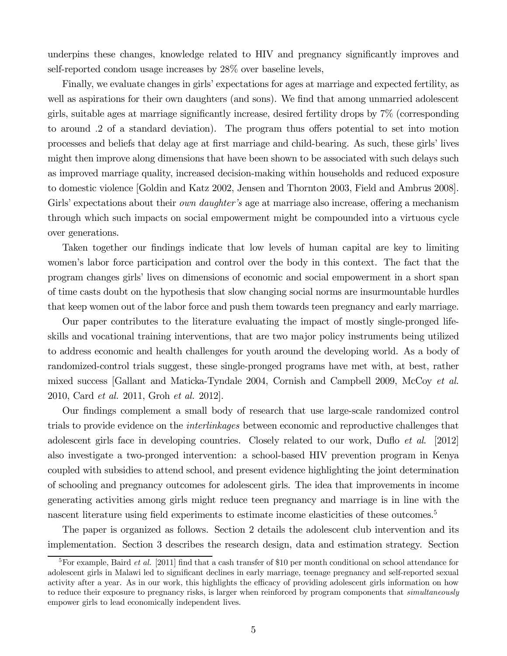underpins these changes, knowledge related to HIV and pregnancy significantly improves and self-reported condom usage increases by 28% over baseline levels,

Finally, we evaluate changes in girls' expectations for ages at marriage and expected fertility, as well as aspirations for their own daughters (and sons). We find that among unmarried adolescent girls, suitable ages at marriage significantly increase, desired fertility drops by  $7\%$  (corresponding to around 2 of a standard deviation). The program thus offers potential to set into motion processes and beliefs that delay age at first marriage and child-bearing. As such, these girls' lives might then improve along dimensions that have been shown to be associated with such delays such as improved marriage quality, increased decision-making within households and reduced exposure to domestic violence [Goldin and Katz 2002, Jensen and Thornton 2003, Field and Ambrus 2008]. Girls' expectations about their *own daughter's* age at marriage also increase, offering a mechanism through which such impacts on social empowerment might be compounded into a virtuous cycle over generations.

Taken together our findings indicate that low levels of human capital are key to limiting women's labor force participation and control over the body in this context. The fact that the program changes girls' lives on dimensions of economic and social empowerment in a short span of time casts doubt on the hypothesis that slow changing social norms are insurmountable hurdles that keep women out of the labor force and push them towards teen pregnancy and early marriage.

Our paper contributes to the literature evaluating the impact of mostly single-pronged lifeskills and vocational training interventions, that are two major policy instruments being utilized to address economic and health challenges for youth around the developing world. As a body of randomized-control trials suggest, these single-pronged programs have met with, at best, rather mixed success [Gallant and Maticka-Tyndale 2004, Cornish and Campbell 2009, McCoy *et al.* 2010, Card *et al.* 2011, Groh *et al.* 2012].

Our findings complement a small body of research that use large-scale randomized control trials to provide evidence on the *interlinkages* between economic and reproductive challenges that adolescent girls face in developing countries. Closely related to our work, Duflo *et al.* [2012] also investigate a two-pronged intervention: a school-based HIV prevention program in Kenya coupled with subsidies to attend school, and present evidence highlighting the joint determination of schooling and pregnancy outcomes for adolescent girls. The idea that improvements in income generating activities among girls might reduce teen pregnancy and marriage is in line with the nascent literature using field experiments to estimate income elasticities of these outcomes.<sup>5</sup>

The paper is organized as follows. Section 2 details the adolescent club intervention and its implementation. Section 3 describes the research design, data and estimation strategy. Section

 ${}^{5}$ For example, Baird *et al.* [2011] find that a cash transfer of \$10 per month conditional on school attendance for adolescent girls in Malawi led to significant declines in early marriage, teenage pregnancy and self-reported sexual activity after a year. As in our work, this highlights the efficacy of providing adolescent girls information on how to reduce their exposure to pregnancy risks, is larger when reinforced by program components that *simultaneously* empower girls to lead economically independent lives.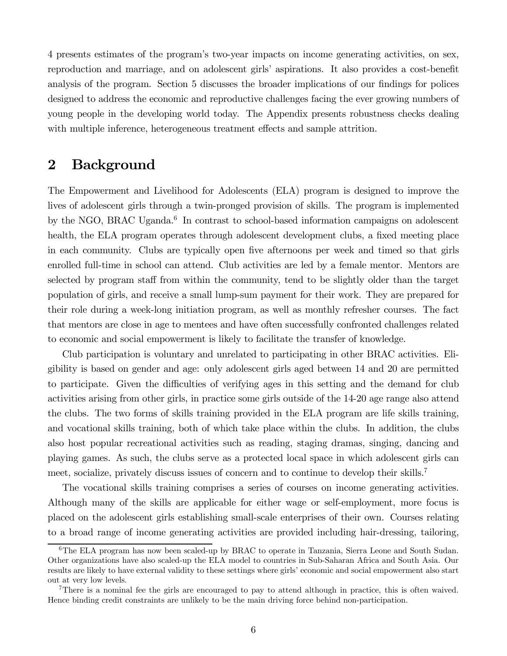4 presents estimates of the program's two-year impacts on income generating activities, on sex, reproduction and marriage, and on adolescent girls' aspirations. It also provides a cost-benefit analysis of the program. Section 5 discusses the broader implications of our findings for polices designed to address the economic and reproductive challenges facing the ever growing numbers of young people in the developing world today. The Appendix presents robustness checks dealing with multiple inference, heterogeneous treatment effects and sample attrition.

## 2 Background

The Empowerment and Livelihood for Adolescents (ELA) program is designed to improve the lives of adolescent girls through a twin-pronged provision of skills. The program is implemented by the NGO, BRAC Uganda.<sup>6</sup> In contrast to school-based information campaigns on adolescent health, the ELA program operates through adolescent development clubs, a fixed meeting place in each community. Clubs are typically open five afternoons per week and timed so that girls enrolled full-time in school can attend. Club activities are led by a female mentor. Mentors are selected by program staff from within the community, tend to be slightly older than the target population of girls, and receive a small lump-sum payment for their work. They are prepared for their role during a week-long initiation program, as well as monthly refresher courses. The fact that mentors are close in age to mentees and have often successfully confronted challenges related to economic and social empowerment is likely to facilitate the transfer of knowledge.

Club participation is voluntary and unrelated to participating in other BRAC activities. Eligibility is based on gender and age: only adolescent girls aged between 14 and 20 are permitted to participate. Given the difficulties of verifying ages in this setting and the demand for club activities arising from other girls, in practice some girls outside of the 14-20 age range also attend the clubs. The two forms of skills training provided in the ELA program are life skills training, and vocational skills training, both of which take place within the clubs. In addition, the clubs also host popular recreational activities such as reading, staging dramas, singing, dancing and playing games. As such, the clubs serve as a protected local space in which adolescent girls can meet, socialize, privately discuss issues of concern and to continue to develop their skills.<sup>7</sup>

The vocational skills training comprises a series of courses on income generating activities. Although many of the skills are applicable for either wage or self-employment, more focus is placed on the adolescent girls establishing small-scale enterprises of their own. Courses relating to a broad range of income generating activities are provided including hair-dressing, tailoring,

<sup>6</sup>The ELA program has now been scaled-up by BRAC to operate in Tanzania, Sierra Leone and South Sudan. Other organizations have also scaled-up the ELA model to countries in Sub-Saharan Africa and South Asia. Our results are likely to have external validity to these settings where girls' economic and social empowerment also start out at very low levels.

<sup>&</sup>lt;sup>7</sup>There is a nominal fee the girls are encouraged to pay to attend although in practice, this is often waived. Hence binding credit constraints are unlikely to be the main driving force behind non-participation.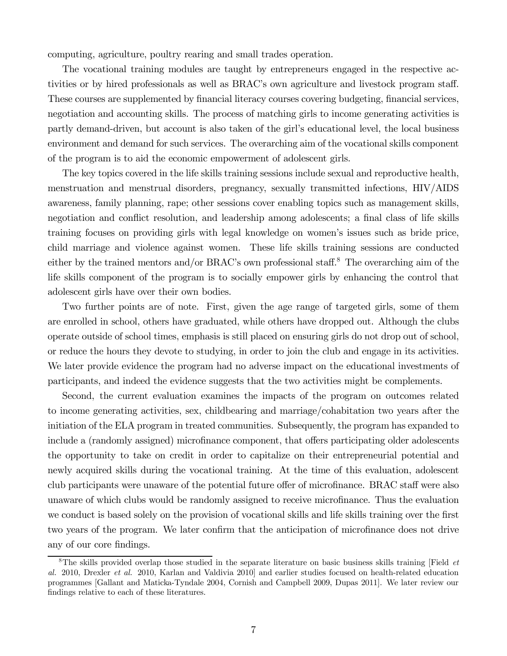computing, agriculture, poultry rearing and small trades operation.

The vocational training modules are taught by entrepreneurs engaged in the respective activities or by hired professionals as well as BRAC's own agriculture and livestock program staff. These courses are supplemented by financial literacy courses covering budgeting, financial services, negotiation and accounting skills. The process of matching girls to income generating activities is partly demand-driven, but account is also taken of the girl's educational level, the local business environment and demand for such services. The overarching aim of the vocational skills component of the program is to aid the economic empowerment of adolescent girls.

The key topics covered in the life skills training sessions include sexual and reproductive health, menstruation and menstrual disorders, pregnancy, sexually transmitted infections, HIV/AIDS awareness, family planning, rape; other sessions cover enabling topics such as management skills, negotiation and conflict resolution, and leadership among adolescents; a final class of life skills training focuses on providing girls with legal knowledge on women's issues such as bride price, child marriage and violence against women. These life skills training sessions are conducted either by the trained mentors and/or BRAC's own professional staff.<sup>8</sup> The overarching aim of the life skills component of the program is to socially empower girls by enhancing the control that adolescent girls have over their own bodies.

Two further points are of note. First, given the age range of targeted girls, some of them are enrolled in school, others have graduated, while others have dropped out. Although the clubs operate outside of school times, emphasis is still placed on ensuring girls do not drop out of school, or reduce the hours they devote to studying, in order to join the club and engage in its activities. We later provide evidence the program had no adverse impact on the educational investments of participants, and indeed the evidence suggests that the two activities might be complements.

Second, the current evaluation examines the impacts of the program on outcomes related to income generating activities, sex, childbearing and marriage/cohabitation two years after the initiation of the ELA program in treated communities. Subsequently, the program has expanded to include a (randomly assigned) microfinance component, that offers participating older adolescents the opportunity to take on credit in order to capitalize on their entrepreneurial potential and newly acquired skills during the vocational training. At the time of this evaluation, adolescent club participants were unaware of the potential future offer of microfinance. BRAC staff were also unaware of which clubs would be randomly assigned to receive microfinance. Thus the evaluation we conduct is based solely on the provision of vocational skills and life skills training over the first two years of the program. We later confirm that the anticipation of microfinance does not drive any of our core findings.

<sup>8</sup>The skills provided overlap those studied in the separate literature on basic business skills training [Field *et al.* 2010, Drexler *et al.* 2010, Karlan and Valdivia 2010] and earlier studies focused on health-related education programmes [Gallant and Maticka-Tyndale 2004, Cornish and Campbell 2009, Dupas 2011]. We later review our findings relative to each of these literatures.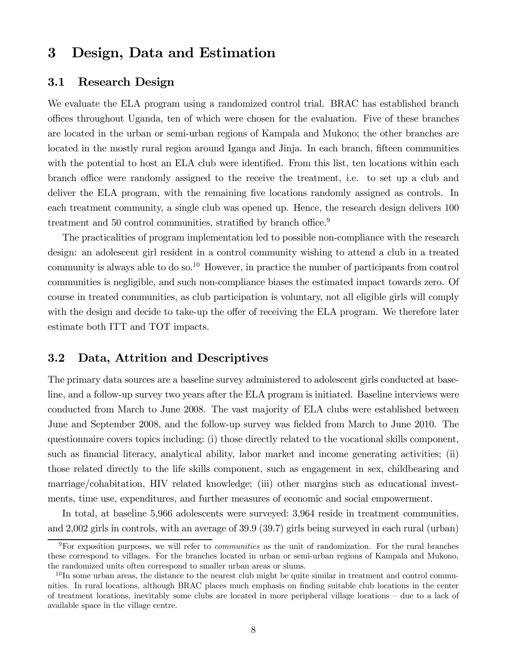## 3 Design, Data and Estimation

#### 3.1 Research Design

We evaluate the ELA program using a randomized control trial. BRAC has established branch o¢ces throughout Uganda, ten of which were chosen for the evaluation. Five of these branches are located in the urban or semi-urban regions of Kampala and Mukono; the other branches are located in the mostly rural region around Iganga and Jinja. In each branch, fifteen communities with the potential to host an ELA club were identified. From this list, ten locations within each branch office were randomly assigned to the receive the treatment, i.e. to set up a club and deliver the ELA program, with the remaining five locations randomly assigned as controls. In each treatment community, a single club was opened up. Hence, the research design delivers 100 treatment and 50 control communities, stratified by branch office.<sup>9</sup>

The practicalities of program implementation led to possible non-compliance with the research design: an adolescent girl resident in a control community wishing to attend a club in a treated community is always able to do so.<sup>10</sup> However, in practice the number of participants from control communities is negligible, and such non-compliance biases the estimated impact towards zero. Of course in treated communities, as club participation is voluntary, not all eligible girls will comply with the design and decide to take-up the offer of receiving the ELA program. We therefore later estimate both ITT and TOT impacts.

### 3.2 Data, Attrition and Descriptives

The primary data sources are a baseline survey administered to adolescent girls conducted at baseline, and a follow-up survey two years after the ELA program is initiated. Baseline interviews were conducted from March to June 2008. The vast majority of ELA clubs were established between June and September 2008, and the follow-up survey was fielded from March to June 2010. The questionnaire covers topics including: (i) those directly related to the vocational skills component, such as financial literacy, analytical ability, labor market and income generating activities; (ii) those related directly to the life skills component, such as engagement in sex, childbearing and marriage/cohabitation, HIV related knowledge; (iii) other margins such as educational investments, time use, expenditures, and further measures of economic and social empowerment.

In total, at baseline 5,966 adolescents were surveyed: 3,964 reside in treatment communities, and 2,002 girls in controls, with an average of 39.9 (39.7) girls being surveyed in each rural (urban)

<sup>9</sup>For exposition purposes, we will refer to *communities* as the unit of randomization. For the rural branches these correspond to villages. For the branches located in urban or semi-urban regions of Kampala and Mukono, the randomized units often correspond to smaller urban areas or slums.

 $10$  In some urban areas, the distance to the nearest club might be quite similar in treatment and control communities. In rural locations, although BRAC places much emphasis on finding suitable club locations in the center of treatment locations, inevitably some clubs are located in more peripheral village locations – due to a lack of available space in the village centre.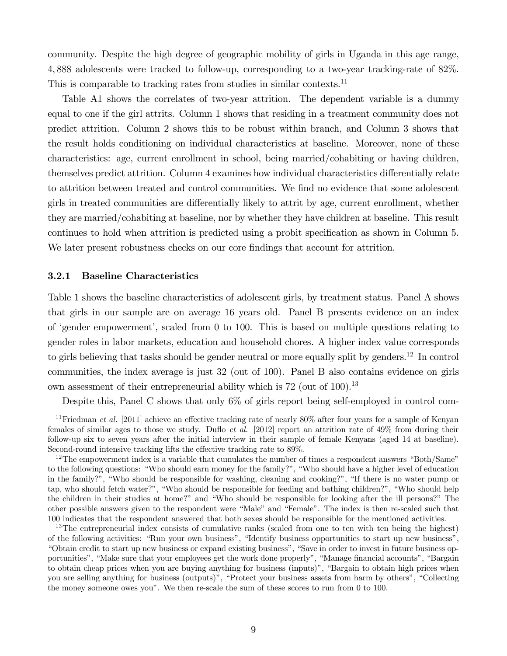community. Despite the high degree of geographic mobility of girls in Uganda in this age range, 4 888 adolescents were tracked to follow-up, corresponding to a two-year tracking-rate of 82%. This is comparable to tracking rates from studies in similar contexts.<sup>11</sup>

Table A1 shows the correlates of two-year attrition. The dependent variable is a dummy equal to one if the girl attrits. Column 1 shows that residing in a treatment community does not predict attrition. Column 2 shows this to be robust within branch, and Column 3 shows that the result holds conditioning on individual characteristics at baseline. Moreover, none of these characteristics: age, current enrollment in school, being married/cohabiting or having children, themselves predict attrition. Column 4 examines how individual characteristics differentially relate to attrition between treated and control communities. We find no evidence that some adolescent girls in treated communities are differentially likely to attrit by age, current enrollment, whether they are married/cohabiting at baseline, nor by whether they have children at baseline. This result continues to hold when attrition is predicted using a probit specification as shown in Column 5. We later present robustness checks on our core findings that account for attrition.

#### 3.2.1 Baseline Characteristics

Table 1 shows the baseline characteristics of adolescent girls, by treatment status. Panel A shows that girls in our sample are on average 16 years old. Panel B presents evidence on an index of 'gender empowerment', scaled from 0 to 100. This is based on multiple questions relating to gender roles in labor markets, education and household chores. A higher index value corresponds to girls believing that tasks should be gender neutral or more equally split by genders.<sup>12</sup> In control communities, the index average is just 32 (out of 100). Panel B also contains evidence on girls own assessment of their entrepreneurial ability which is  $72$  (out of 100).<sup>13</sup>

Despite this, Panel C shows that only 6% of girls report being self-employed in control com-

<sup>&</sup>lt;sup>11</sup>Friedman *et al.* [2011] achieve an effective tracking rate of nearly  $80\%$  after four years for a sample of Kenyan females of similar ages to those we study. Dufto *et al.* [2012] report an attrition rate of 49% from during their follow-up six to seven years after the initial interview in their sample of female Kenyans (aged 14 at baseline). Second-round intensive tracking lifts the effective tracking rate to  $89\%$ .

<sup>&</sup>lt;sup>12</sup>The empowerment index is a variable that cumulates the number of times a respondent answers "Both/Same" to the following questions: "Who should earn money for the family?", "Who should have a higher level of education in the family?", "Who should be responsible for washing, cleaning and cooking?", "If there is no water pump or tap, who should fetch water?", "Who should be responsible for feeding and bathing children?", "Who should help the children in their studies at home?" and "Who should be responsible for looking after the ill persons?" The other possible answers given to the respondent were "Male" and "Female". The index is then re-scaled such that 100 indicates that the respondent answered that both sexes should be responsible for the mentioned activities.

<sup>&</sup>lt;sup>13</sup>The entrepreneurial index consists of cumulative ranks (scaled from one to ten with ten being the highest) of the following activities: "Run your own business", "Identify business opportunities to start up new business", "Obtain credit to start up new business or expand existing business", "Save in order to invest in future business opportunities", "Make sure that your employees get the work done properly", "Manage financial accounts", "Bargain to obtain cheap prices when you are buying anything for business (inputs)", "Bargain to obtain high prices when you are selling anything for business (outputs)", "Protect your business assets from harm by others", "Collecting the money someone owes you". We then re-scale the sum of these scores to run from 0 to 100.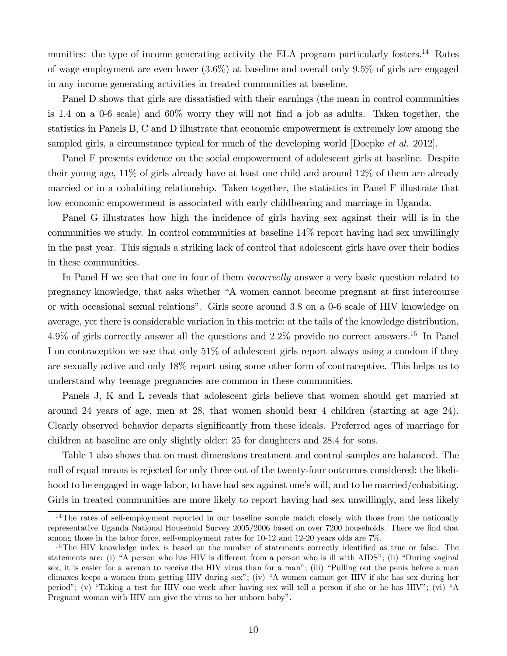munities: the type of income generating activity the ELA program particularly fosters.<sup>14</sup> Rates of wage employment are even lower  $(3.6\%)$  at baseline and overall only  $9.5\%$  of girls are engaged in any income generating activities in treated communities at baseline.

Panel D shows that girls are dissatisfied with their earnings (the mean in control communities is 1.4 on a 0-6 scale) and  $60\%$  worry they will not find a job as adults. Taken together, the statistics in Panels B, C and D illustrate that economic empowerment is extremely low among the sampled girls, a circumstance typical for much of the developing world [Doepke *et al.* 2012].

Panel F presents evidence on the social empowerment of adolescent girls at baseline. Despite their young age, 11% of girls already have at least one child and around 12% of them are already married or in a cohabiting relationship. Taken together, the statistics in Panel F illustrate that low economic empowerment is associated with early childbearing and marriage in Uganda.

Panel G illustrates how high the incidence of girls having sex against their will is in the communities we study. In control communities at baseline 14% report having had sex unwillingly in the past year. This signals a striking lack of control that adolescent girls have over their bodies in these communities.

In Panel H we see that one in four of them *incorrectly* answer a very basic question related to pregnancy knowledge, that asks whether "A women cannot become pregnant at first intercourse or with occasional sexual relations". Girls score around 38 on a 0-6 scale of HIV knowledge on average, yet there is considerable variation in this metric: at the tails of the knowledge distribution, 4.9% of girls correctly answer all the questions and  $2.2\%$  provide no correct answers.<sup>15</sup> In Panel I on contraception we see that only 51% of adolescent girls report always using a condom if they are sexually active and only 18% report using some other form of contraceptive. This helps us to understand why teenage pregnancies are common in these communities.

Panels J, K and L reveals that adolescent girls believe that women should get married at around 24 years of age, men at 28, that women should bear 4 children (starting at age 24). Clearly observed behavior departs significantly from these ideals. Preferred ages of marriage for children at baseline are only slightly older: 25 for daughters and 284 for sons.

Table 1 also shows that on most dimensions treatment and control samples are balanced. The null of equal means is rejected for only three out of the twenty-four outcomes considered: the likelihood to be engaged in wage labor, to have had sex against one's will, and to be married/cohabiting. Girls in treated communities are more likely to report having had sex unwillingly, and less likely

<sup>&</sup>lt;sup>14</sup>The rates of self-employment reported in our baseline sample match closely with those from the nationally representative Uganda National Household Survey 2005/2006 based on over 7200 households. There we find that among those in the labor force, self-employment rates for 10-12 and 12-20 years olds are 7%.

 $15$ The HIV knowledge index is based on the number of statements correctly identified as true or false. The statements are: (i) "A person who has HIV is different from a person who is ill with AIDS"; (ii) "During vaginal" sex, it is easier for a woman to receive the HIV virus than for a man"; (iii) "Pulling out the penis before a man climaxes keeps a women from getting HIV during sex"; (iv) "A women cannot get HIV if she has sex during her period"; (v) "Taking a test for HIV one week after having sex will tell a person if she or he has HIV"; (vi) "A Pregnant woman with HIV can give the virus to her unborn baby".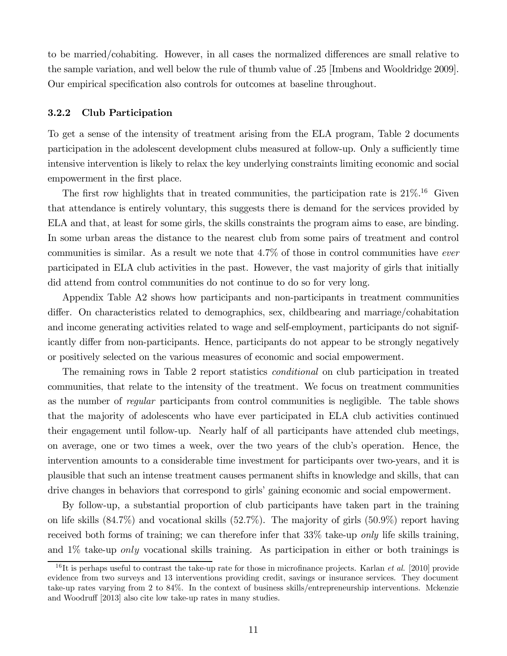to be married/cohabiting. However, in all cases the normalized differences are small relative to the sample variation, and well below the rule of thumb value of .25 [Imbens and Wooldridge 2009]. Our empirical specification also controls for outcomes at baseline throughout.

#### 3.2.2 Club Participation

To get a sense of the intensity of treatment arising from the ELA program, Table 2 documents participation in the adolescent development clubs measured at follow-up. Only a sufficiently time intensive intervention is likely to relax the key underlying constraints limiting economic and social empowerment in the first place.

The first row highlights that in treated communities, the participation rate is  $21\%$ .<sup>16</sup> Given that attendance is entirely voluntary, this suggests there is demand for the services provided by ELA and that, at least for some girls, the skills constraints the program aims to ease, are binding. In some urban areas the distance to the nearest club from some pairs of treatment and control communities is similar. As a result we note that 47% of those in control communities have *ever* participated in ELA club activities in the past. However, the vast majority of girls that initially did attend from control communities do not continue to do so for very long.

Appendix Table A2 shows how participants and non-participants in treatment communities differ. On characteristics related to demographics, sex, childbearing and marriage/cohabitation and income generating activities related to wage and self-employment, participants do not significantly differ from non-participants. Hence, participants do not appear to be strongly negatively or positively selected on the various measures of economic and social empowerment.

The remaining rows in Table 2 report statistics *conditional* on club participation in treated communities, that relate to the intensity of the treatment. We focus on treatment communities as the number of *regular* participants from control communities is negligible. The table shows that the majority of adolescents who have ever participated in ELA club activities continued their engagement until follow-up. Nearly half of all participants have attended club meetings, on average, one or two times a week, over the two years of the club's operation. Hence, the intervention amounts to a considerable time investment for participants over two-years, and it is plausible that such an intense treatment causes permanent shifts in knowledge and skills, that can drive changes in behaviors that correspond to girls' gaining economic and social empowerment.

By follow-up, a substantial proportion of club participants have taken part in the training on life skills  $(84.7\%)$  and vocational skills  $(52.7\%)$ . The majority of girls  $(50.9\%)$  report having received both forms of training; we can therefore infer that 33% take-up *only* life skills training, and  $1\%$  take-up only vocational skills training. As participation in either or both trainings is

 $16$ It is perhaps useful to contrast the take-up rate for those in microfinance projects. Karlan *et al.* [2010] provide evidence from two surveys and 13 interventions providing credit, savings or insurance services. They document take-up rates varying from 2 to 84%. In the context of business skills/entrepreneurship interventions. Mckenzie and Woodruff [2013] also cite low take-up rates in many studies.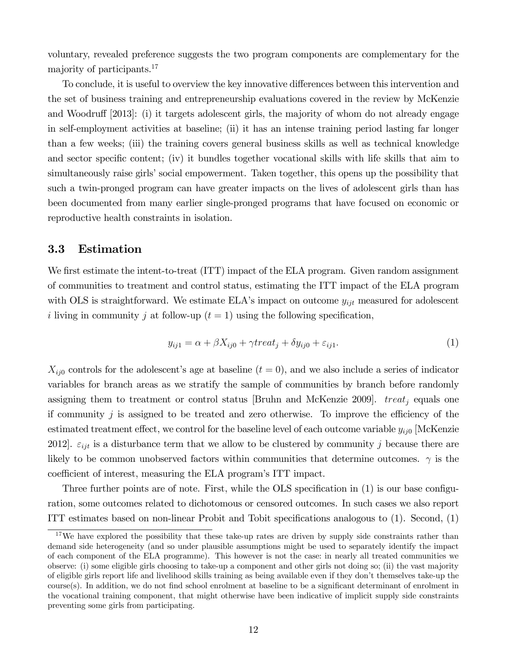voluntary, revealed preference suggests the two program components are complementary for the majority of participants.<sup>17</sup>

To conclude, it is useful to overview the key innovative differences between this intervention and the set of business training and entrepreneurship evaluations covered in the review by McKenzie and Woodruff [2013]: (i) it targets adolescent girls, the majority of whom do not already engage in self-employment activities at baseline; (ii) it has an intense training period lasting far longer than a few weeks; (iii) the training covers general business skills as well as technical knowledge and sector specific content; (iv) it bundles together vocational skills with life skills that aim to simultaneously raise girls' social empowerment. Taken together, this opens up the possibility that such a twin-pronged program can have greater impacts on the lives of adolescent girls than has been documented from many earlier single-pronged programs that have focused on economic or reproductive health constraints in isolation.

#### 3.3 Estimation

We first estimate the intent-to-treat  $(TTT)$  impact of the ELA program. Given random assignment of communities to treatment and control status, estimating the ITT impact of the ELA program with OLS is straightforward. We estimate ELA's impact on outcome  $y_{ijt}$  measured for adolescent i living in community j at follow-up  $(t = 1)$  using the following specification,

$$
y_{ij1} = \alpha + \beta X_{ij0} + \gamma treat_j + \delta y_{ij0} + \varepsilon_{ij1}.
$$
\n(1)

 $X_{ij0}$  controls for the adolescent's age at baseline  $(t = 0)$ , and we also include a series of indicator variables for branch areas as we stratify the sample of communities by branch before randomly assigning them to treatment or control status [Bruhn and McKenzie 2009].  $treat_j$  equals one if community  $j$  is assigned to be treated and zero otherwise. To improve the efficiency of the estimated treatment effect, we control for the baseline level of each outcome variable  $y_{ii0}$  [McKenzie 2012].  $\varepsilon_{ijt}$  is a disturbance term that we allow to be clustered by community j because there are likely to be common unobserved factors within communities that determine outcomes.  $\gamma$  is the coefficient of interest, measuring the ELA program's ITT impact.

Three further points are of note. First, while the OLS specification in  $(1)$  is our base configuration, some outcomes related to dichotomous or censored outcomes. In such cases we also report ITT estimates based on non-linear Probit and Tobit specifications analogous to  $(1)$ . Second,  $(1)$ 

<sup>&</sup>lt;sup>17</sup>We have explored the possibility that these take-up rates are driven by supply side constraints rather than demand side heterogeneity (and so under plausible assumptions might be used to separately identify the impact of each component of the ELA programme). This however is not the case: in nearly all treated communities we observe: (i) some eligible girls choosing to take-up a component and other girls not doing so; (ii) the vast majority of eligible girls report life and livelihood skills training as being available even if they don't themselves take-up the course(s). In addition, we do not find school enrolment at baseline to be a significant determinant of enrolment in the vocational training component, that might otherwise have been indicative of implicit supply side constraints preventing some girls from participating.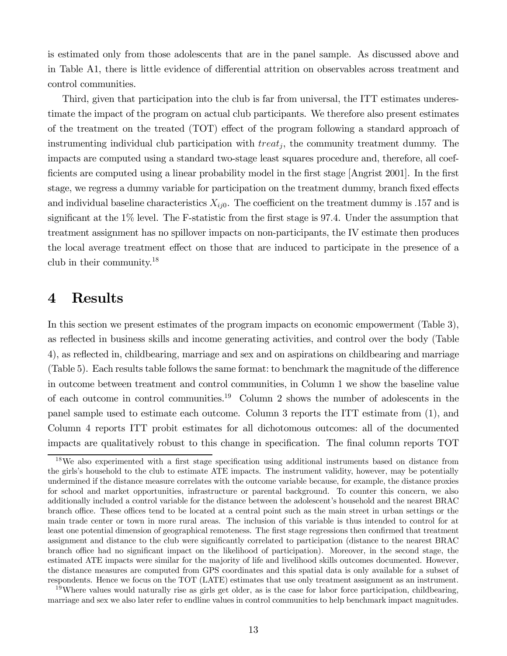is estimated only from those adolescents that are in the panel sample. As discussed above and in Table A1, there is little evidence of differential attrition on observables across treatment and control communities.

Third, given that participation into the club is far from universal, the ITT estimates underestimate the impact of the program on actual club participants. We therefore also present estimates of the treatment on the treated  $(TOT)$  effect of the program following a standard approach of instrumenting individual club participation with  $treat_j$ , the community treatment dummy. The impacts are computed using a standard two-stage least squares procedure and, therefore, all coef ficients are computed using a linear probability model in the first stage  $[Angrist 2001]$ . In the first stage, we regress a dummy variable for participation on the treatment dummy, branch fixed effects and individual baseline characteristics  $X_{ij0}$ . The coefficient on the treatment dummy is 157 and is significant at the  $1\%$  level. The F-statistic from the first stage is 97.4. Under the assumption that treatment assignment has no spillover impacts on non-participants, the IV estimate then produces the local average treatment effect on those that are induced to participate in the presence of a club in their community.<sup>18</sup>

### 4 Results

In this section we present estimates of the program impacts on economic empowerment (Table 3), as reflected in business skills and income generating activities, and control over the body (Table 4), as reflected in, childbearing, marriage and sex and on aspirations on childbearing and marriage  $(Table 5)$ . Each results table follows the same format: to benchmark the magnitude of the difference in outcome between treatment and control communities, in Column 1 we show the baseline value of each outcome in control communities.<sup>19</sup> Column 2 shows the number of adolescents in the panel sample used to estimate each outcome. Column 3 reports the ITT estimate from (1), and Column 4 reports ITT probit estimates for all dichotomous outcomes: all of the documented impacts are qualitatively robust to this change in specification. The final column reports TOT

 $18\text{We also experimented with a first stage specification using additional instruments based on distance from.}$ the girls's household to the club to estimate ATE impacts. The instrument validity, however, may be potentially undermined if the distance measure correlates with the outcome variable because, for example, the distance proxies for school and market opportunities, infrastructure or parental background. To counter this concern, we also additionally included a control variable for the distance between the adolescent's household and the nearest BRAC branch office. These offices tend to be located at a central point such as the main street in urban settings or the main trade center or town in more rural areas. The inclusion of this variable is thus intended to control for at least one potential dimension of geographical remoteness. The first stage regressions then confirmed that treatment assignment and distance to the club were significantly correlated to participation (distance to the nearest BRAC branch office had no significant impact on the likelihood of participation). Moreover, in the second stage, the estimated ATE impacts were similar for the majority of life and livelihood skills outcomes documented. However, the distance measures are computed from GPS coordinates and this spatial data is only available for a subset of respondents. Hence we focus on the TOT (LATE) estimates that use only treatment assignment as an instrument.

<sup>&</sup>lt;sup>19</sup>Where values would naturally rise as girls get older, as is the case for labor force participation, childbearing, marriage and sex we also later refer to endline values in control communities to help benchmark impact magnitudes.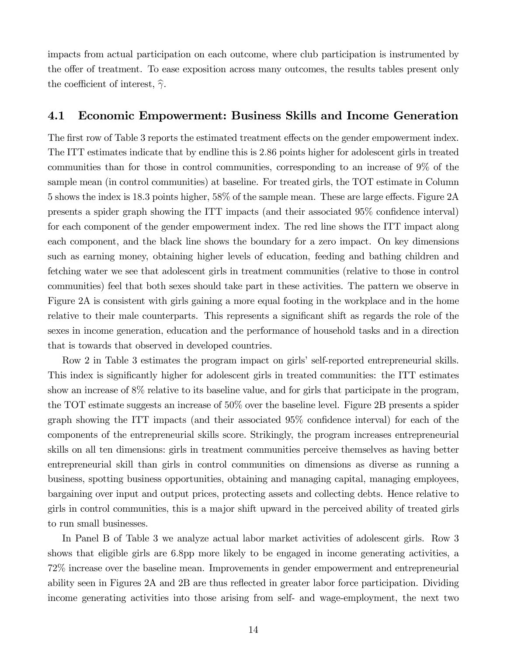impacts from actual participation on each outcome, where club participation is instrumented by the offer of treatment. To ease exposition across many outcomes, the results tables present only the coefficient of interest,  $\hat{\gamma}$ .

#### 4.1 Economic Empowerment: Business Skills and Income Generation

The first row of Table 3 reports the estimated treatment effects on the gender empowerment index. The ITT estimates indicate that by endline this is 286 points higher for adolescent girls in treated communities than for those in control communities, corresponding to an increase of 9% of the sample mean (in control communities) at baseline. For treated girls, the TOT estimate in Column 5 shows the index is 18.3 points higher, 58% of the sample mean. These are large effects. Figure 2A presents a spider graph showing the ITT impacts (and their associated 95% confidence interval) for each component of the gender empowerment index. The red line shows the ITT impact along each component, and the black line shows the boundary for a zero impact. On key dimensions such as earning money, obtaining higher levels of education, feeding and bathing children and fetching water we see that adolescent girls in treatment communities (relative to those in control communities) feel that both sexes should take part in these activities. The pattern we observe in Figure 2A is consistent with girls gaining a more equal footing in the workplace and in the home relative to their male counterparts. This represents a significant shift as regards the role of the sexes in income generation, education and the performance of household tasks and in a direction that is towards that observed in developed countries.

Row 2 in Table 3 estimates the program impact on girls' self-reported entrepreneurial skills. This index is significantly higher for adolescent girls in treated communities: the ITT estimates show an increase of 8% relative to its baseline value, and for girls that participate in the program, the TOT estimate suggests an increase of 50% over the baseline level. Figure 2B presents a spider graph showing the ITT impacts (and their associated  $95\%$  confidence interval) for each of the components of the entrepreneurial skills score. Strikingly, the program increases entrepreneurial skills on all ten dimensions: girls in treatment communities perceive themselves as having better entrepreneurial skill than girls in control communities on dimensions as diverse as running a business, spotting business opportunities, obtaining and managing capital, managing employees, bargaining over input and output prices, protecting assets and collecting debts. Hence relative to girls in control communities, this is a major shift upward in the perceived ability of treated girls to run small businesses.

In Panel B of Table 3 we analyze actual labor market activities of adolescent girls. Row 3 shows that eligible girls are 6.8pp more likely to be engaged in income generating activities, a 72% increase over the baseline mean. Improvements in gender empowerment and entrepreneurial ability seen in Figures 2A and 2B are thus reflected in greater labor force participation. Dividing income generating activities into those arising from self- and wage-employment, the next two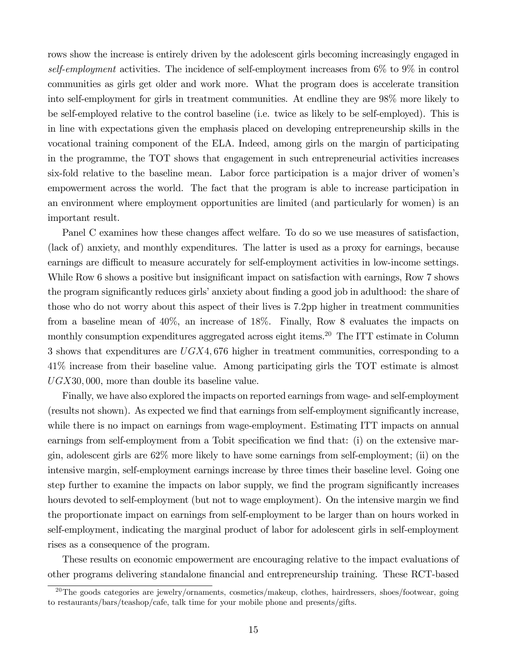rows show the increase is entirely driven by the adolescent girls becoming increasingly engaged in *self-employment* activities. The incidence of self-employment increases from 6% to 9% in control communities as girls get older and work more. What the program does is accelerate transition into self-employment for girls in treatment communities. At endline they are 98% more likely to be self-employed relative to the control baseline (i.e. twice as likely to be self-employed). This is in line with expectations given the emphasis placed on developing entrepreneurship skills in the vocational training component of the ELA. Indeed, among girls on the margin of participating in the programme, the TOT shows that engagement in such entrepreneurial activities increases six-fold relative to the baseline mean. Labor force participation is a major driver of women's empowerment across the world. The fact that the program is able to increase participation in an environment where employment opportunities are limited (and particularly for women) is an important result.

Panel C examines how these changes affect welfare. To do so we use measures of satisfaction, (lack of) anxiety, and monthly expenditures. The latter is used as a proxy for earnings, because earnings are difficult to measure accurately for self-employment activities in low-income settings. While Row 6 shows a positive but insignificant impact on satisfaction with earnings, Row 7 shows the program significantly reduces girls' anxiety about finding a good job in adulthood: the share of those who do not worry about this aspect of their lives is 72pp higher in treatment communities from a baseline mean of 40%, an increase of 18%. Finally, Row 8 evaluates the impacts on monthly consumption expenditures aggregated across eight items.<sup>20</sup> The ITT estimate in Column 3 shows that expenditures are  $UGX4,676$  higher in treatment communities, corresponding to a 41% increase from their baseline value. Among participating girls the TOT estimate is almost  $UGX30,000$ , more than double its baseline value.

Finally, we have also explored the impacts on reported earnings from wage- and self-employment (results not shown). As expected we find that earnings from self-employment significantly increase, while there is no impact on earnings from wage-employment. Estimating ITT impacts on annual earnings from self-employment from a Tobit specification we find that: (i) on the extensive margin, adolescent girls are 62% more likely to have some earnings from self-employment; (ii) on the intensive margin, self-employment earnings increase by three times their baseline level. Going one step further to examine the impacts on labor supply, we find the program significantly increases hours devoted to self-employment (but not to wage employment). On the intensive margin we find the proportionate impact on earnings from self-employment to be larger than on hours worked in self-employment, indicating the marginal product of labor for adolescent girls in self-employment rises as a consequence of the program.

These results on economic empowerment are encouraging relative to the impact evaluations of other programs delivering standalone financial and entrepreneurship training. These RCT-based

 $^{20}$ The goods categories are jewelry/ornaments, cosmetics/makeup, clothes, hairdressers, shoes/footwear, going to restaurants/bars/teashop/cafe, talk time for your mobile phone and presents/gifts.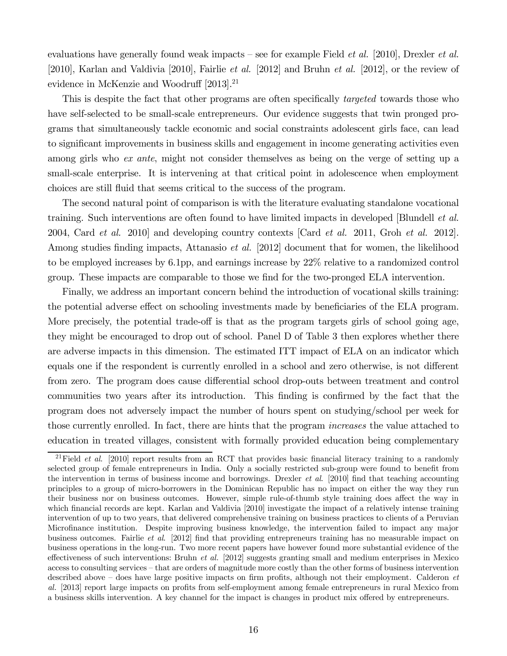evaluations have generally found weak impacts – see for example Field *et al.* [2010], Drexler *et al.* [2010], Karlan and Valdivia [2010], Fairlie *et al.* [2012] and Bruhn *et al.* [2012], or the review of evidence in McKenzie and Woodruff  $[2013]$ <sup>21</sup>

This is despite the fact that other programs are often specifically *targeted* towards those who have self-selected to be small-scale entrepreneurs. Our evidence suggests that twin pronged programs that simultaneously tackle economic and social constraints adolescent girls face, can lead to significant improvements in business skills and engagement in income generating activities even among girls who *ex ante*, might not consider themselves as being on the verge of setting up a small-scale enterprise. It is intervening at that critical point in adolescence when employment choices are still fluid that seems critical to the success of the program.

The second natural point of comparison is with the literature evaluating standalone vocational training. Such interventions are often found to have limited impacts in developed [Blundell *et al.* 2004, Card *et al.* 2010] and developing country contexts [Card *et al.* 2011, Groh *et al.* 2012]. Among studies finding impacts, Attanasio *et al.* [2012] document that for women, the likelihood to be employed increases by 6.1pp, and earnings increase by 22% relative to a randomized control group. These impacts are comparable to those we find for the two-pronged ELA intervention.

Finally, we address an important concern behind the introduction of vocational skills training: the potential adverse effect on schooling investments made by beneficiaries of the ELA program. More precisely, the potential trade-off is that as the program targets girls of school going age, they might be encouraged to drop out of school. Panel D of Table 3 then explores whether there are adverse impacts in this dimension. The estimated ITT impact of ELA on an indicator which equals one if the respondent is currently enrolled in a school and zero otherwise, is not different from zero. The program does cause differential school drop-outs between treatment and control communities two years after its introduction. This finding is confirmed by the fact that the program does not adversely impact the number of hours spent on studying/school per week for those currently enrolled. In fact, there are hints that the program *increases* the value attached to education in treated villages, consistent with formally provided education being complementary

<sup>&</sup>lt;sup>21</sup>Field *et al.* [2010] report results from an RCT that provides basic financial literacy training to a randomly selected group of female entrepreneurs in India. Only a socially restricted sub-group were found to benefit from the intervention in terms of business income and borrowings. Drexler *et al.* [2010] find that teaching accounting principles to a group of micro-borrowers in the Dominican Republic has no impact on either the way they run their business nor on business outcomes. However, simple rule-of-thumb style training does affect the way in which financial records are kept. Karlan and Valdivia [2010] investigate the impact of a relatively intense training intervention of up to two years, that delivered comprehensive training on business practices to clients of a Peruvian Microfinance institution. Despite improving business knowledge, the intervention failed to impact any major business outcomes. Fairlie *et al.* [2012] find that providing entrepreneurs training has no measurable impact on business operations in the long-run. Two more recent papers have however found more substantial evidence of the effectiveness of such interventions: Bruhn *et al.* [2012] suggests granting small and medium enterprises in Mexico access to consulting services – that are orders of magnitude more costly than the other forms of business intervention described above – does have large positive impacts on firm profits, although not their employment. Calderon *et al.* [2013] report large impacts on profits from self-employment among female entrepreneurs in rural Mexico from a business skills intervention. A key channel for the impact is changes in product mix offered by entrepreneurs.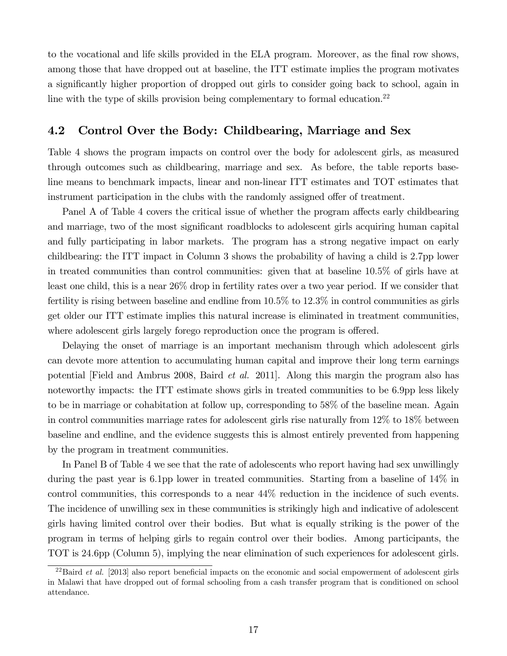to the vocational and life skills provided in the ELA program. Moreover, as the final row shows, among those that have dropped out at baseline, the ITT estimate implies the program motivates a significantly higher proportion of dropped out girls to consider going back to school, again in line with the type of skills provision being complementary to formal education.<sup>22</sup>

### 4.2 Control Over the Body: Childbearing, Marriage and Sex

Table 4 shows the program impacts on control over the body for adolescent girls, as measured through outcomes such as childbearing, marriage and sex. As before, the table reports baseline means to benchmark impacts, linear and non-linear ITT estimates and TOT estimates that instrument participation in the clubs with the randomly assigned offer of treatment.

Panel A of Table 4 covers the critical issue of whether the program affects early childbearing and marriage, two of the most significant roadblocks to adolescent girls acquiring human capital and fully participating in labor markets. The program has a strong negative impact on early childbearing: the ITT impact in Column 3 shows the probability of having a child is 27pp lower in treated communities than control communities: given that at baseline 105% of girls have at least one child, this is a near 26% drop in fertility rates over a two year period. If we consider that fertility is rising between baseline and endline from  $10.5\%$  to  $12.3\%$  in control communities as girls get older our ITT estimate implies this natural increase is eliminated in treatment communities, where adolescent girls largely forego reproduction once the program is offered.

Delaying the onset of marriage is an important mechanism through which adolescent girls can devote more attention to accumulating human capital and improve their long term earnings potential [Field and Ambrus 2008, Baird *et al.* 2011]. Along this margin the program also has noteworthy impacts: the ITT estimate shows girls in treated communities to be 6.9pp less likely to be in marriage or cohabitation at follow up, corresponding to 58% of the baseline mean. Again in control communities marriage rates for adolescent girls rise naturally from 12% to 18% between baseline and endline, and the evidence suggests this is almost entirely prevented from happening by the program in treatment communities.

In Panel B of Table 4 we see that the rate of adolescents who report having had sex unwillingly during the past year is 61pp lower in treated communities. Starting from a baseline of 14% in control communities, this corresponds to a near 44% reduction in the incidence of such events. The incidence of unwilling sex in these communities is strikingly high and indicative of adolescent girls having limited control over their bodies. But what is equally striking is the power of the program in terms of helping girls to regain control over their bodies. Among participants, the TOT is 246pp (Column 5), implying the near elimination of such experiences for adolescent girls.

 $^{22}$ Baird *et al.* [2013] also report beneficial impacts on the economic and social empowerment of adolescent girls in Malawi that have dropped out of formal schooling from a cash transfer program that is conditioned on school attendance.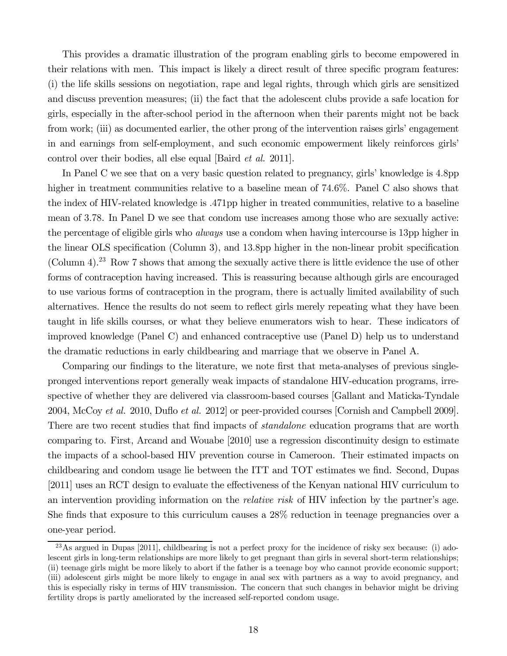This provides a dramatic illustration of the program enabling girls to become empowered in their relations with men. This impact is likely a direct result of three specific program features: (i) the life skills sessions on negotiation, rape and legal rights, through which girls are sensitized and discuss prevention measures; (ii) the fact that the adolescent clubs provide a safe location for girls, especially in the after-school period in the afternoon when their parents might not be back from work; (iii) as documented earlier, the other prong of the intervention raises girls' engagement in and earnings from self-employment, and such economic empowerment likely reinforces girls' control over their bodies, all else equal [Baird *et al.* 2011].

In Panel C we see that on a very basic question related to pregnancy, girls' knowledge is 4.8pp higher in treatment communities relative to a baseline mean of  $74.6\%$ . Panel C also shows that the index of HIV-related knowledge is 471pp higher in treated communities, relative to a baseline mean of 378. In Panel D we see that condom use increases among those who are sexually active: the percentage of eligible girls who *always* use a condom when having intercourse is 13pp higher in the linear OLS specification (Column 3), and  $13.8$ pp higher in the non-linear probit specification (Column 4).<sup>23</sup> Row 7 shows that among the sexually active there is little evidence the use of other forms of contraception having increased. This is reassuring because although girls are encouraged to use various forms of contraception in the program, there is actually limited availability of such alternatives. Hence the results do not seem to reflect girls merely repeating what they have been taught in life skills courses, or what they believe enumerators wish to hear. These indicators of improved knowledge (Panel C) and enhanced contraceptive use (Panel D) help us to understand the dramatic reductions in early childbearing and marriage that we observe in Panel A.

Comparing our findings to the literature, we note first that meta-analyses of previous singlepronged interventions report generally weak impacts of standalone HIV-education programs, irrespective of whether they are delivered via classroom-based courses [Gallant and Maticka-Tyndale 2004, McCoy *et al.* 2010, Du‡o *et al.* 2012] or peer-provided courses [Cornish and Campbell 2009]. There are two recent studies that find impacts of *standalone* education programs that are worth comparing to. First, Arcand and Wouabe [2010] use a regression discontinuity design to estimate the impacts of a school-based HIV prevention course in Cameroon. Their estimated impacts on childbearing and condom usage lie between the ITT and TOT estimates we find. Second, Dupas [2011] uses an RCT design to evaluate the effectiveness of the Kenyan national HIV curriculum to an intervention providing information on the *relative risk* of HIV infection by the partner's age. She finds that exposure to this curriculum causes a  $28\%$  reduction in teenage pregnancies over a one-year period.

 $^{23}$ As argued in Dupas [2011], childbearing is not a perfect proxy for the incidence of risky sex because: (i) adolescent girls in long-term relationships are more likely to get pregnant than girls in several short-term relationships; (ii) teenage girls might be more likely to abort if the father is a teenage boy who cannot provide economic support; (iii) adolescent girls might be more likely to engage in anal sex with partners as a way to avoid pregnancy, and this is especially risky in terms of HIV transmission. The concern that such changes in behavior might be driving fertility drops is partly ameliorated by the increased self-reported condom usage.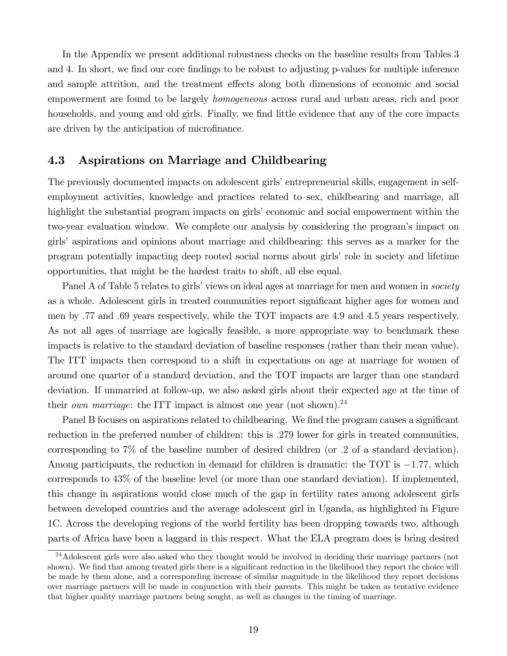In the Appendix we present additional robustness checks on the baseline results from Tables 3 and 4. In short, we find our core findings to be robust to adjusting p-values for multiple inference and sample attrition, and the treatment effects along both dimensions of economic and social empowerment are found to be largely *homogeneous* across rural and urban areas, rich and poor households, and young and old girls. Finally, we find little evidence that any of the core impacts are driven by the anticipation of microfinance.

#### 4.3 Aspirations on Marriage and Childbearing

The previously documented impacts on adolescent girls' entrepreneurial skills, engagement in selfemployment activities, knowledge and practices related to sex, childbearing and marriage, all highlight the substantial program impacts on girls' economic and social empowerment within the two-year evaluation window. We complete our analysis by considering the program's impact on girls' aspirations and opinions about marriage and childbearing: this serves as a marker for the program potentially impacting deep rooted social norms about girls' role in society and lifetime opportunities, that might be the hardest traits to shift, all else equal.

Panel A of Table 5 relates to girls' views on ideal ages at marriage for men and women in *society* as a whole. Adolescent girls in treated communities report significant higher ages for women and men by 77 and 69 years respectively, while the TOT impacts are 49 and 45 years respectively. As not all ages of marriage are logically feasible, a more appropriate way to benchmark these impacts is relative to the standard deviation of baseline responses (rather than their mean value). The ITT impacts then correspond to a shift in expectations on age at marriage for women of around one quarter of a standard deviation, and the TOT impacts are larger than one standard deviation. If unmarried at follow-up, we also asked girls about their expected age at the time of their *own marriage*: the ITT impact is almost one year (not shown).<sup>24</sup>

Panel B focuses on aspirations related to childbearing. We find the program causes a significant reduction in the preferred number of children: this is 279 lower for girls in treated communities, corresponding to 7% of the baseline number of desired children (or 2 of a standard deviation). Among participants, the reduction in demand for children is dramatic: the TOT is  $-1.77$ , which corresponds to 43% of the baseline level (or more than one standard deviation). If implemented, this change in aspirations would close much of the gap in fertility rates among adolescent girls between developed countries and the average adolescent girl in Uganda, as highlighted in Figure 1C. Across the developing regions of the world fertility has been dropping towards two, although parts of Africa have been a laggard in this respect. What the ELA program does is bring desired

<sup>&</sup>lt;sup>24</sup>Adolescent girls were also asked who they thought would be involved in deciding their marriage partners (not shown). We find that among treated girls there is a significant reduction in the likelihood they report the choice will be made by them alone, and a corresponding increase of similar magnitude in the likelihood they report decisions over marriage partners will be made in conjunction with their parents. This might be taken as tentative evidence that higher quality marriage partners being sought, as well as changes in the timing of marriage.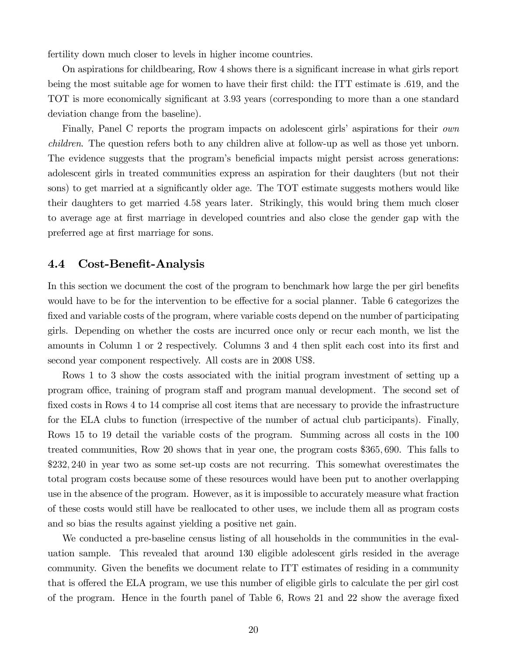fertility down much closer to levels in higher income countries.

On aspirations for childbearing, Row 4 shows there is a significant increase in what girls report being the most suitable age for women to have their first child: the ITT estimate is 619, and the TOT is more economically significant at 3.93 years (corresponding to more than a one standard deviation change from the baseline).

Finally, Panel C reports the program impacts on adolescent girls' aspirations for their *own children*. The question refers both to any children alive at follow-up as well as those yet unborn. The evidence suggests that the program's beneficial impacts might persist across generations: adolescent girls in treated communities express an aspiration for their daughters (but not their sons) to get married at a significantly older age. The TOT estimate suggests mothers would like their daughters to get married 458 years later. Strikingly, this would bring them much closer to average age at first marriage in developed countries and also close the gender gap with the preferred age at first marriage for sons.

#### 4.4 Cost-Benefit-Analysis

In this section we document the cost of the program to benchmark how large the per girl benefits would have to be for the intervention to be effective for a social planner. Table 6 categorizes the fixed and variable costs of the program, where variable costs depend on the number of participating girls. Depending on whether the costs are incurred once only or recur each month, we list the amounts in Column 1 or 2 respectively. Columns 3 and 4 then split each cost into its first and second year component respectively. All costs are in 2008 US\$.

Rows 1 to 3 show the costs associated with the initial program investment of setting up a program office, training of program staff and program manual development. The second set of fixed costs in Rows 4 to 14 comprise all cost items that are necessary to provide the infrastructure for the ELA clubs to function (irrespective of the number of actual club participants). Finally, Rows 15 to 19 detail the variable costs of the program. Summing across all costs in the 100 treated communities, Row 20 shows that in year one, the program costs \$365 690. This falls to \$232 240 in year two as some set-up costs are not recurring. This somewhat overestimates the total program costs because some of these resources would have been put to another overlapping use in the absence of the program. However, as it is impossible to accurately measure what fraction of these costs would still have be reallocated to other uses, we include them all as program costs and so bias the results against yielding a positive net gain.

We conducted a pre-baseline census listing of all households in the communities in the evaluation sample. This revealed that around 130 eligible adolescent girls resided in the average community. Given the benefits we document relate to ITT estimates of residing in a community that is offered the ELA program, we use this number of eligible girls to calculate the per girl cost of the program. Hence in the fourth panel of Table 6, Rows 21 and 22 show the average fixed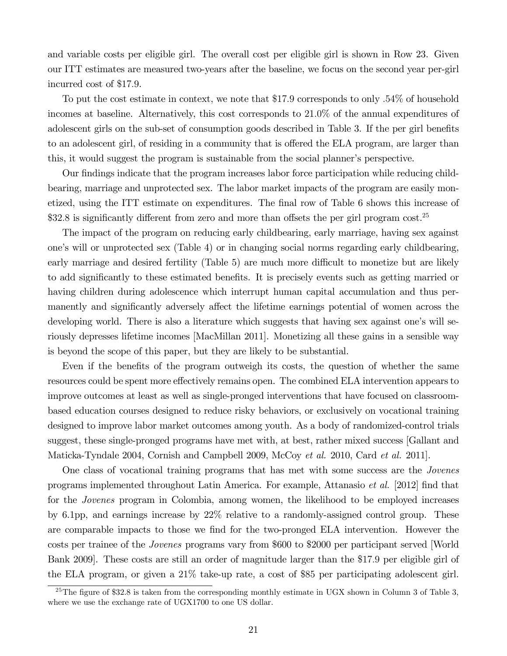and variable costs per eligible girl. The overall cost per eligible girl is shown in Row 23. Given our ITT estimates are measured two-years after the baseline, we focus on the second year per-girl incurred cost of \$17.9.

To put the cost estimate in context, we note that \$179 corresponds to only 54% of household incomes at baseline. Alternatively, this cost corresponds to 210% of the annual expenditures of adolescent girls on the sub-set of consumption goods described in Table 3. If the per girl benefits to an adolescent girl, of residing in a community that is offered the ELA program, are larger than this, it would suggest the program is sustainable from the social planner's perspective.

Our findings indicate that the program increases labor force participation while reducing childbearing, marriage and unprotected sex. The labor market impacts of the program are easily monetized, using the ITT estimate on expenditures. The final row of Table 6 shows this increase of  $$32.8$  is significantly different from zero and more than offsets the per girl program cost.<sup>25</sup>

The impact of the program on reducing early childbearing, early marriage, having sex against one's will or unprotected sex (Table 4) or in changing social norms regarding early childbearing, early marriage and desired fertility (Table 5) are much more difficult to monetize but are likely to add significantly to these estimated benefits. It is precisely events such as getting married or having children during adolescence which interrupt human capital accumulation and thus permanently and significantly adversely affect the lifetime earnings potential of women across the developing world. There is also a literature which suggests that having sex against one's will seriously depresses lifetime incomes [MacMillan 2011]. Monetizing all these gains in a sensible way is beyond the scope of this paper, but they are likely to be substantial.

Even if the benefits of the program outweigh its costs, the question of whether the same resources could be spent more effectively remains open. The combined ELA intervention appears to improve outcomes at least as well as single-pronged interventions that have focused on classroombased education courses designed to reduce risky behaviors, or exclusively on vocational training designed to improve labor market outcomes among youth. As a body of randomized-control trials suggest, these single-pronged programs have met with, at best, rather mixed success [Gallant and Maticka-Tyndale 2004, Cornish and Campbell 2009, McCoy *et al.* 2010, Card *et al.* 2011].

One class of vocational training programs that has met with some success are the *Jovenes* programs implemented throughout Latin America. For example, Attanasio *et al.* [2012] find that for the *Jovenes* program in Colombia, among women, the likelihood to be employed increases by 6.1pp, and earnings increase by 22% relative to a randomly-assigned control group. These are comparable impacts to those we find for the two-pronged ELA intervention. However the costs per trainee of the *Jovenes* programs vary from \$600 to \$2000 per participant served [World Bank 2009]. These costs are still an order of magnitude larger than the \$179 per eligible girl of the ELA program, or given a 21% take-up rate, a cost of \$85 per participating adolescent girl.

<sup>&</sup>lt;sup>25</sup>The figure of \$32.8 is taken from the corresponding monthly estimate in UGX shown in Column 3 of Table 3, where we use the exchange rate of UGX1700 to one US dollar.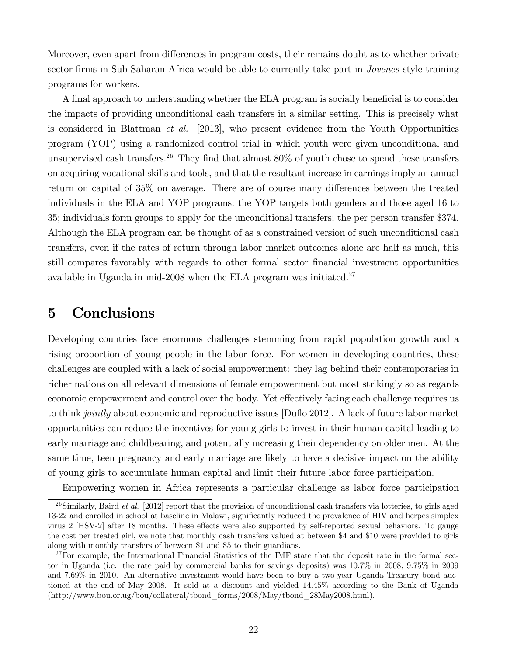Moreover, even apart from differences in program costs, their remains doubt as to whether private sector firms in Sub-Saharan Africa would be able to currently take part in *Jovenes* style training programs for workers.

A final approach to understanding whether the ELA program is socially beneficial is to consider the impacts of providing unconditional cash transfers in a similar setting. This is precisely what is considered in Blattman *et al.* [2013], who present evidence from the Youth Opportunities program (YOP) using a randomized control trial in which youth were given unconditional and unsupervised cash transfers.<sup>26</sup> They find that almost  $80\%$  of youth chose to spend these transfers on acquiring vocational skills and tools, and that the resultant increase in earnings imply an annual return on capital of 35% on average. There are of course many differences between the treated individuals in the ELA and YOP programs: the YOP targets both genders and those aged 16 to 35; individuals form groups to apply for the unconditional transfers; the per person transfer \$374. Although the ELA program can be thought of as a constrained version of such unconditional cash transfers, even if the rates of return through labor market outcomes alone are half as much, this still compares favorably with regards to other formal sector financial investment opportunities available in Uganda in mid-2008 when the ELA program was initiated. $27$ 

## 5 Conclusions

Developing countries face enormous challenges stemming from rapid population growth and a rising proportion of young people in the labor force. For women in developing countries, these challenges are coupled with a lack of social empowerment: they lag behind their contemporaries in richer nations on all relevant dimensions of female empowerment but most strikingly so as regards economic empowerment and control over the body. Yet effectively facing each challenge requires us to think *jointly* about economic and reproductive issues [Du‡o 2012]. A lack of future labor market opportunities can reduce the incentives for young girls to invest in their human capital leading to early marriage and childbearing, and potentially increasing their dependency on older men. At the same time, teen pregnancy and early marriage are likely to have a decisive impact on the ability of young girls to accumulate human capital and limit their future labor force participation.

Empowering women in Africa represents a particular challenge as labor force participation

<sup>&</sup>lt;sup>26</sup>Similarly, Baird *et al.* [2012] report that the provision of unconditional cash transfers via lotteries, to girls aged 13-22 and enrolled in school at baseline in Malawi, significantly reduced the prevalence of HIV and herpes simplex virus 2 [HSV-2] after 18 months. These effects were also supported by self-reported sexual behaviors. To gauge the cost per treated girl, we note that monthly cash transfers valued at between \$4 and \$10 were provided to girls along with monthly transfers of between \$1 and \$5 to their guardians.

 $^{27}$ For example, the International Financial Statistics of the IMF state that the deposit rate in the formal sector in Uganda (i.e. the rate paid by commercial banks for savings deposits) was 10.7% in 2008, 9.75% in 2009 and 7.69% in 2010. An alternative investment would have been to buy a two-year Uganda Treasury bond auctioned at the end of May 2008. It sold at a discount and yielded 14.45% according to the Bank of Uganda (http://www.bou.or.ug/bou/collateral/tbond\_forms/2008/May/tbond\_28May2008.html).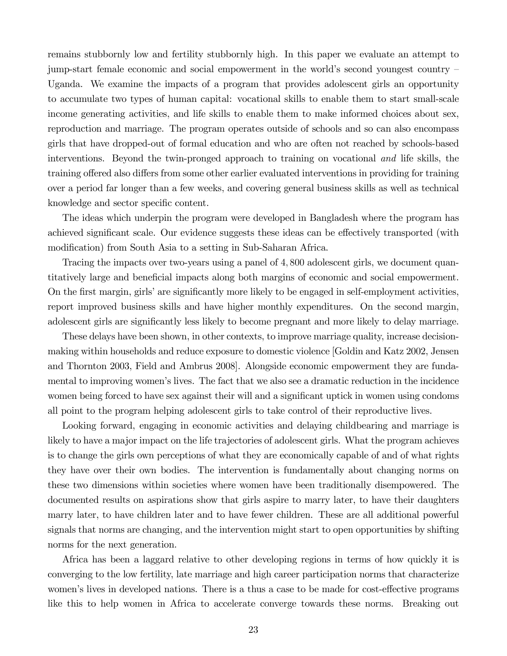remains stubbornly low and fertility stubbornly high. In this paper we evaluate an attempt to jump-start female economic and social empowerment in the world's second youngest country – Uganda. We examine the impacts of a program that provides adolescent girls an opportunity to accumulate two types of human capital: vocational skills to enable them to start small-scale income generating activities, and life skills to enable them to make informed choices about sex, reproduction and marriage. The program operates outside of schools and so can also encompass girls that have dropped-out of formal education and who are often not reached by schools-based interventions. Beyond the twin-pronged approach to training on vocational *and* life skills, the training offered also differs from some other earlier evaluated interventions in providing for training over a period far longer than a few weeks, and covering general business skills as well as technical knowledge and sector specific content.

The ideas which underpin the program were developed in Bangladesh where the program has achieved significant scale. Our evidence suggests these ideas can be effectively transported (with modification) from South Asia to a setting in Sub-Saharan Africa.

Tracing the impacts over two-years using a panel of 4,800 adolescent girls, we document quantitatively large and beneficial impacts along both margins of economic and social empowerment. On the first margin, girls' are significantly more likely to be engaged in self-employment activities, report improved business skills and have higher monthly expenditures. On the second margin, adolescent girls are significantly less likely to become pregnant and more likely to delay marriage.

These delays have been shown, in other contexts, to improve marriage quality, increase decisionmaking within households and reduce exposure to domestic violence [Goldin and Katz 2002, Jensen and Thornton 2003, Field and Ambrus 2008]. Alongside economic empowerment they are fundamental to improving women's lives. The fact that we also see a dramatic reduction in the incidence women being forced to have sex against their will and a significant uptick in women using condoms all point to the program helping adolescent girls to take control of their reproductive lives.

Looking forward, engaging in economic activities and delaying childbearing and marriage is likely to have a major impact on the life trajectories of adolescent girls. What the program achieves is to change the girls own perceptions of what they are economically capable of and of what rights they have over their own bodies. The intervention is fundamentally about changing norms on these two dimensions within societies where women have been traditionally disempowered. The documented results on aspirations show that girls aspire to marry later, to have their daughters marry later, to have children later and to have fewer children. These are all additional powerful signals that norms are changing, and the intervention might start to open opportunities by shifting norms for the next generation.

Africa has been a laggard relative to other developing regions in terms of how quickly it is converging to the low fertility, late marriage and high career participation norms that characterize women's lives in developed nations. There is a thus a case to be made for cost-effective programs like this to help women in Africa to accelerate converge towards these norms. Breaking out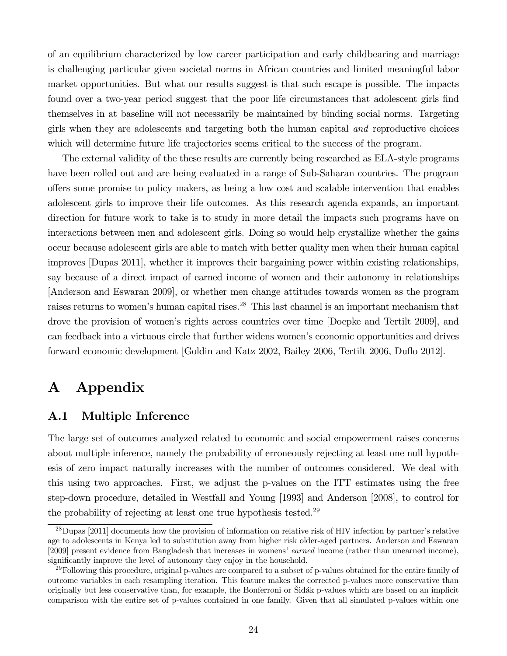of an equilibrium characterized by low career participation and early childbearing and marriage is challenging particular given societal norms in African countries and limited meaningful labor market opportunities. But what our results suggest is that such escape is possible. The impacts found over a two-year period suggest that the poor life circumstances that adolescent girls find themselves in at baseline will not necessarily be maintained by binding social norms. Targeting girls when they are adolescents and targeting both the human capital *and* reproductive choices which will determine future life trajectories seems critical to the success of the program.

The external validity of the these results are currently being researched as ELA-style programs have been rolled out and are being evaluated in a range of Sub-Saharan countries. The program offers some promise to policy makers, as being a low cost and scalable intervention that enables adolescent girls to improve their life outcomes. As this research agenda expands, an important direction for future work to take is to study in more detail the impacts such programs have on interactions between men and adolescent girls. Doing so would help crystallize whether the gains occur because adolescent girls are able to match with better quality men when their human capital improves [Dupas 2011], whether it improves their bargaining power within existing relationships, say because of a direct impact of earned income of women and their autonomy in relationships [Anderson and Eswaran 2009], or whether men change attitudes towards women as the program raises returns to women's human capital rises.<sup>28</sup> This last channel is an important mechanism that drove the provision of women's rights across countries over time [Doepke and Tertilt 2009], and can feedback into a virtuous circle that further widens women's economic opportunities and drives forward economic development [Goldin and Katz 2002, Bailey 2006, Tertilt 2006, Duflo 2012].

## A Appendix

### A.1 Multiple Inference

The large set of outcomes analyzed related to economic and social empowerment raises concerns about multiple inference, namely the probability of erroneously rejecting at least one null hypothesis of zero impact naturally increases with the number of outcomes considered. We deal with this using two approaches. First, we adjust the p-values on the ITT estimates using the free step-down procedure, detailed in Westfall and Young [1993] and Anderson [2008], to control for the probability of rejecting at least one true hypothesis tested.<sup>29</sup>

<sup>&</sup>lt;sup>28</sup>Dupas [2011] documents how the provision of information on relative risk of HIV infection by partner's relative age to adolescents in Kenya led to substitution away from higher risk older-aged partners. Anderson and Eswaran [2009] present evidence from Bangladesh that increases in womens' *earned* income (rather than unearned income), significantly improve the level of autonomy they enjoy in the household.

 $^{29}$ Following this procedure, original p-values are compared to a subset of p-values obtained for the entire family of outcome variables in each resampling iteration. This feature makes the corrected p-values more conservative than originally but less conservative than, for example, the Bonferroni or Šidák p-values which are based on an implicit comparison with the entire set of p-values contained in one family. Given that all simulated p-values within one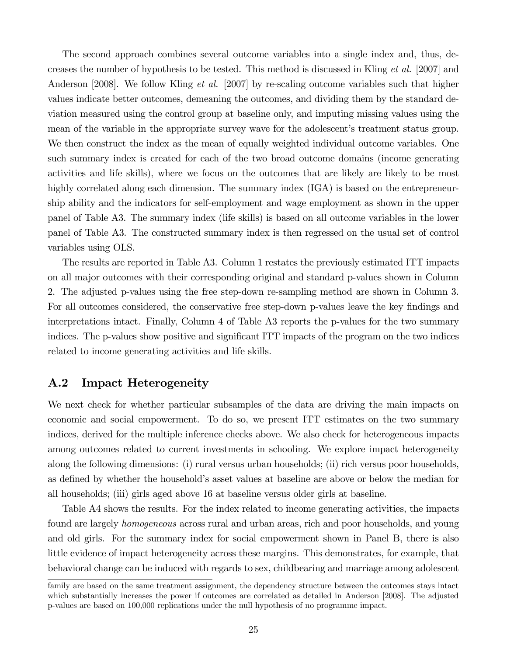The second approach combines several outcome variables into a single index and, thus, decreases the number of hypothesis to be tested. This method is discussed in Kling *et al.* [2007] and Anderson [2008]. We follow Kling *et al.* [2007] by re-scaling outcome variables such that higher values indicate better outcomes, demeaning the outcomes, and dividing them by the standard deviation measured using the control group at baseline only, and imputing missing values using the mean of the variable in the appropriate survey wave for the adolescent's treatment status group. We then construct the index as the mean of equally weighted individual outcome variables. One such summary index is created for each of the two broad outcome domains (income generating activities and life skills), where we focus on the outcomes that are likely are likely to be most highly correlated along each dimension. The summary index  $(IGA)$  is based on the entrepreneurship ability and the indicators for self-employment and wage employment as shown in the upper panel of Table A3. The summary index (life skills) is based on all outcome variables in the lower panel of Table A3. The constructed summary index is then regressed on the usual set of control variables using OLS.

The results are reported in Table A3. Column 1 restates the previously estimated ITT impacts on all major outcomes with their corresponding original and standard p-values shown in Column 2. The adjusted p-values using the free step-down re-sampling method are shown in Column 3. For all outcomes considered, the conservative free step-down p-values leave the key findings and interpretations intact. Finally, Column 4 of Table A3 reports the p-values for the two summary indices. The p-values show positive and significant ITT impacts of the program on the two indices related to income generating activities and life skills.

### A.2 Impact Heterogeneity

We next check for whether particular subsamples of the data are driving the main impacts on economic and social empowerment. To do so, we present ITT estimates on the two summary indices, derived for the multiple inference checks above. We also check for heterogeneous impacts among outcomes related to current investments in schooling. We explore impact heterogeneity along the following dimensions: (i) rural versus urban households; (ii) rich versus poor households, as defined by whether the household's asset values at baseline are above or below the median for all households; (iii) girls aged above 16 at baseline versus older girls at baseline.

Table A4 shows the results. For the index related to income generating activities, the impacts found are largely *homogeneous* across rural and urban areas, rich and poor households, and young and old girls. For the summary index for social empowerment shown in Panel B, there is also little evidence of impact heterogeneity across these margins. This demonstrates, for example, that behavioral change can be induced with regards to sex, childbearing and marriage among adolescent

family are based on the same treatment assignment, the dependency structure between the outcomes stays intact which substantially increases the power if outcomes are correlated as detailed in Anderson [2008]. The adjusted p-values are based on 100,000 replications under the null hypothesis of no programme impact.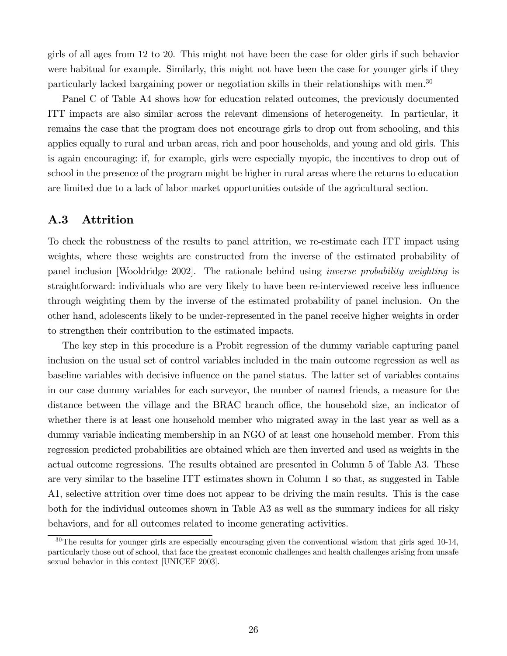girls of all ages from 12 to 20. This might not have been the case for older girls if such behavior were habitual for example. Similarly, this might not have been the case for younger girls if they particularly lacked bargaining power or negotiation skills in their relationships with men.<sup>30</sup>

Panel C of Table A4 shows how for education related outcomes, the previously documented ITT impacts are also similar across the relevant dimensions of heterogeneity. In particular, it remains the case that the program does not encourage girls to drop out from schooling, and this applies equally to rural and urban areas, rich and poor households, and young and old girls. This is again encouraging: if, for example, girls were especially myopic, the incentives to drop out of school in the presence of the program might be higher in rural areas where the returns to education are limited due to a lack of labor market opportunities outside of the agricultural section.

### A.3 Attrition

To check the robustness of the results to panel attrition, we re-estimate each ITT impact using weights, where these weights are constructed from the inverse of the estimated probability of panel inclusion [Wooldridge 2002]. The rationale behind using *inverse probability weighting* is straightforward: individuals who are very likely to have been re-interviewed receive less influence through weighting them by the inverse of the estimated probability of panel inclusion. On the other hand, adolescents likely to be under-represented in the panel receive higher weights in order to strengthen their contribution to the estimated impacts.

The key step in this procedure is a Probit regression of the dummy variable capturing panel inclusion on the usual set of control variables included in the main outcome regression as well as baseline variables with decisive influence on the panel status. The latter set of variables contains in our case dummy variables for each surveyor, the number of named friends, a measure for the distance between the village and the BRAC branch office, the household size, an indicator of whether there is at least one household member who migrated away in the last year as well as a dummy variable indicating membership in an NGO of at least one household member. From this regression predicted probabilities are obtained which are then inverted and used as weights in the actual outcome regressions. The results obtained are presented in Column 5 of Table A3. These are very similar to the baseline ITT estimates shown in Column 1 so that, as suggested in Table A1, selective attrition over time does not appear to be driving the main results. This is the case both for the individual outcomes shown in Table A3 as well as the summary indices for all risky behaviors, and for all outcomes related to income generating activities.

 $30$ The results for younger girls are especially encouraging given the conventional wisdom that girls aged 10-14, particularly those out of school, that face the greatest economic challenges and health challenges arising from unsafe sexual behavior in this context [UNICEF 2003].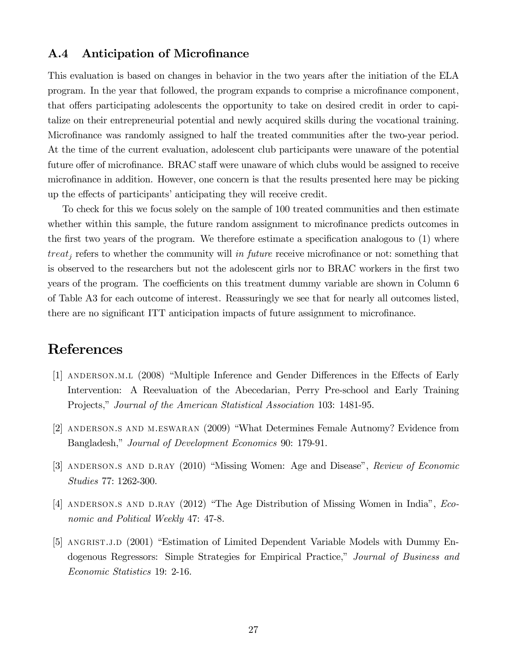### A.4 Anticipation of Microfinance

This evaluation is based on changes in behavior in the two years after the initiation of the ELA program. In the year that followed, the program expands to comprise a microfinance component, that offers participating adolescents the opportunity to take on desired credit in order to capitalize on their entrepreneurial potential and newly acquired skills during the vocational training. Microfinance was randomly assigned to half the treated communities after the two-year period. At the time of the current evaluation, adolescent club participants were unaware of the potential future offer of microfinance. BRAC staff were unaware of which clubs would be assigned to receive microfinance in addition. However, one concern is that the results presented here may be picking up the effects of participants' anticipating they will receive credit.

To check for this we focus solely on the sample of 100 treated communities and then estimate whether within this sample, the future random assignment to microfinance predicts outcomes in the first two years of the program. We therefore estimate a specification analogous to  $(1)$  where  $treat<sub>i</sub>$  refers to whether the community will *in future* receive microfinance or not: something that is observed to the researchers but not the adolescent girls nor to BRAC workers in the first two years of the program. The coefficients on this treatment dummy variable are shown in Column 6 of Table A3 for each outcome of interest. Reassuringly we see that for nearly all outcomes listed, there are no significant ITT anticipation impacts of future assignment to microfinance.

## References

- [1] ANDERSON.M.L (2008) "Multiple Inference and Gender Differences in the Effects of Early Intervention: A Reevaluation of the Abecedarian, Perry Pre-school and Early Training Projects," *Journal of the American Statistical Association* 103: 1481-95.
- [2] anderson.s and m.eswaran (2009) "What Determines Female Autnomy? Evidence from Bangladesh," *Journal of Development Economics* 90: 179-91.
- [3] anderson.s and d.ray (2010) "Missing Women: Age and Disease", *Review of Economic Studies* 77: 1262-300.
- [4] anderson.s and d.ray (2012) "The Age Distribution of Missing Women in India", *Economic and Political Weekly* 47: 47-8.
- [5] ANGRIST.J.D (2001) "Estimation of Limited Dependent Variable Models with Dummy Endogenous Regressors: Simple Strategies for Empirical Practice," *Journal of Business and Economic Statistics* 19: 2-16.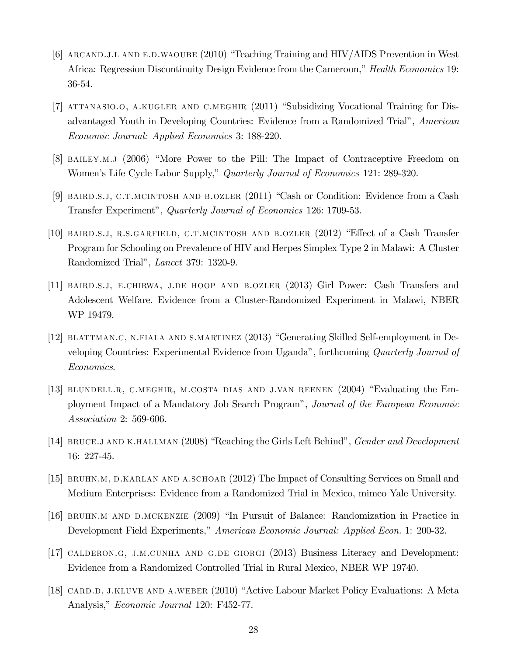- [6] arcand.j.l and e.d.waoube (2010) "Teaching Training and HIV/AIDS Prevention in West Africa: Regression Discontinuity Design Evidence from the Cameroon," *Health Economics* 19: 36-54.
- [7] attanasio.o, a.kugler and c.meghir (2011) "Subsidizing Vocational Training for Disadvantaged Youth in Developing Countries: Evidence from a Randomized Trial", *American Economic Journal: Applied Economics* 3: 188-220.
- [8] bailey.m.j (2006) "More Power to the Pill: The Impact of Contraceptive Freedom on Women's Life Cycle Labor Supply," *Quarterly Journal of Economics* 121: 289-320.
- [9] BAIRD.S.J, C.T.MCINTOSH AND B.OZLER (2011) "Cash or Condition: Evidence from a Cash Transfer Experiment", *Quarterly Journal of Economics* 126: 1709-53.
- [10] BAIRD.S.J, R.S.GARFIELD, C.T.MCINTOSH AND B.OZLER (2012) "Effect of a Cash Transfer Program for Schooling on Prevalence of HIV and Herpes Simplex Type 2 in Malawi: A Cluster Randomized Trial", *Lancet* 379: 1320-9.
- [11] baird.s.j, e.chirwa, j.de hoop and b.ozler (2013) Girl Power: Cash Transfers and Adolescent Welfare. Evidence from a Cluster-Randomized Experiment in Malawi, NBER WP 19479.
- [12] blattman.c, n.fiala and s.martinez (2013) "Generating Skilled Self-employment in Developing Countries: Experimental Evidence from Uganda", forthcoming *Quarterly Journal of Economics*.
- [13] blundell.r, c.meghir, m.costa dias and j.van reenen (2004) "Evaluating the Employment Impact of a Mandatory Job Search Program", *Journal of the European Economic Association* 2: 569-606.
- [14] bruce.j and k.hallman (2008) "Reaching the Girls Left Behind", *Gender and Development* 16: 227-45.
- [15] bruhn.m, d.karlan and a.schoar (2012) The Impact of Consulting Services on Small and Medium Enterprises: Evidence from a Randomized Trial in Mexico, mimeo Yale University.
- [16] bruhn.m and d.mckenzie (2009) "In Pursuit of Balance: Randomization in Practice in Development Field Experiments," *American Economic Journal: Applied Econ.* 1: 200-32.
- [17] calderon.g, j.m.cunha and g.de giorgi (2013) Business Literacy and Development: Evidence from a Randomized Controlled Trial in Rural Mexico, NBER WP 19740.
- [18] card.d, j.kluve and a.weber (2010) "Active Labour Market Policy Evaluations: A Meta Analysis," *Economic Journal* 120: F452-77.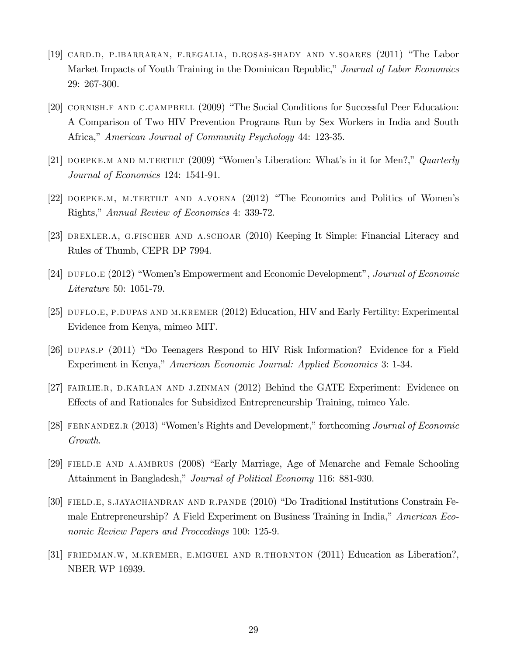- [19] card.d, p.ibarraran, f.regalia, d.rosas-shady and y.soares (2011) "The Labor Market Impacts of Youth Training in the Dominican Republic," *Journal of Labor Economics* 29: 267-300.
- [20] cornish.f and c.campbell (2009) "The Social Conditions for Successful Peer Education: A Comparison of Two HIV Prevention Programs Run by Sex Workers in India and South Africa," *American Journal of Community Psychology* 44: 123-35.
- [21] doepke.m and m.tertilt (2009) "Women's Liberation: What's in it for Men?," *Quarterly Journal of Economics* 124: 1541-91.
- [22] doepke.m, m.tertilt and a.voena (2012) "The Economics and Politics of Women's Rights," *Annual Review of Economics* 4: 339-72.
- [23] drexler.a, g.fischer and a.schoar (2010) Keeping It Simple: Financial Literacy and Rules of Thumb, CEPR DP 7994.
- [24] duflo.e (2012) "Women's Empowerment and Economic Development", *Journal of Economic Literature* 50: 1051-79.
- [25] DUFLO.E, P.DUPAS AND M.KREMER (2012) Education, HIV and Early Fertility: Experimental Evidence from Kenya, mimeo MIT.
- [26] dupas.p (2011) "Do Teenagers Respond to HIV Risk Information? Evidence for a Field Experiment in Kenya," *American Economic Journal: Applied Economics* 3: 1-34.
- [27] FAIRLIE.R, D.KARLAN AND J.ZINMAN (2012) Behind the GATE Experiment: Evidence on Effects of and Rationales for Subsidized Entrepreneurship Training, mimeo Yale.
- [28] fernandez.r (2013) "Women's Rights and Development," forthcoming *Journal of Economic Growth*.
- [29] FIELD.E AND A.AMBRUS (2008) "Early Marriage, Age of Menarche and Female Schooling Attainment in Bangladesh," *Journal of Political Economy* 116: 881-930.
- [30] field.e, s.jayachandran and r.pande (2010) "Do Traditional Institutions Constrain Female Entrepreneurship? A Field Experiment on Business Training in India," *American Economic Review Papers and Proceedings* 100: 125-9.
- [31] friedman.w, m.kremer, e.miguel and r.thornton (2011) Education as Liberation?, NBER WP 16939.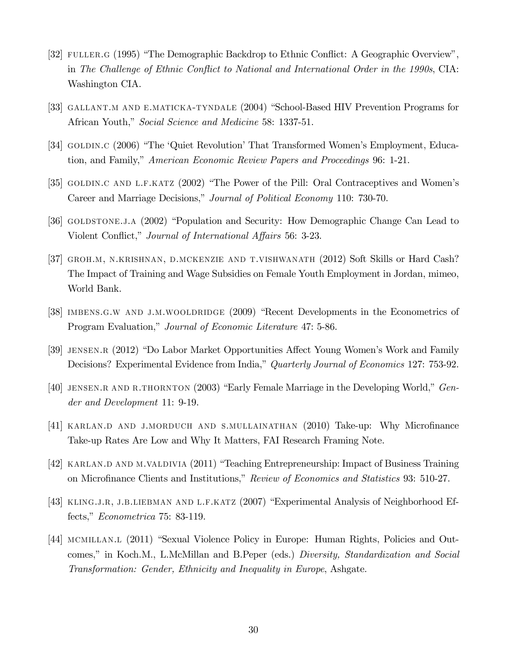- [32] FULLER.G (1995) "The Demographic Backdrop to Ethnic Conflict: A Geographic Overview", in *The Challenge of Ethnic Con‡ict to National and International Order in the 1990s*, CIA: Washington CIA.
- [33] gallant.m and e.maticka-tyndale (2004) "School-Based HIV Prevention Programs for African Youth," *Social Science and Medicine* 58: 1337-51.
- [34] GOLDIN.C (2006) "The 'Quiet Revolution' That Transformed Women's Employment, Education, and Family," *American Economic Review Papers and Proceedings* 96: 1-21.
- [35] goldin.c and l.f.katz (2002) "The Power of the Pill: Oral Contraceptives and Women's Career and Marriage Decisions," *Journal of Political Economy* 110: 730-70.
- [36] goldstone.j.a (2002) "Population and Security: How Demographic Change Can Lead to Violent Conflict," *Journal of International Affairs* 56: 3-23.
- [37] GROH.M, N.KRISHNAN, D.MCKENZIE AND T.VISHWANATH (2012) Soft Skills or Hard Cash? The Impact of Training and Wage Subsidies on Female Youth Employment in Jordan, mimeo, World Bank.
- [38] imbens.g.w and j.m.wooldridge (2009) "Recent Developments in the Econometrics of Program Evaluation," *Journal of Economic Literature* 47: 5-86.
- [39] jensen.r (2012) "Do Labor Market Opportunities A¤ect Young Women's Work and Family Decisions? Experimental Evidence from India," *Quarterly Journal of Economics* 127: 753-92.
- [40] jensen.r and r.thornton (2003) "Early Female Marriage in the Developing World," *Gender and Development* 11: 9-19.
- [41] KARLAN.D AND J.MORDUCH AND S.MULLAINATHAN (2010) Take-up: Why Microfinance Take-up Rates Are Low and Why It Matters, FAI Research Framing Note.
- [42] KARLAN.D AND M.VALDIVIA (2011) "Teaching Entrepreneurship: Impact of Business Training on Micro…nance Clients and Institutions," *Review of Economics and Statistics* 93: 510-27.
- [43] KLING.J.R, J.B.LIEBMAN AND L.F.KATZ (2007) "Experimental Analysis of Neighborhood Effects," *Econometrica* 75: 83-119.
- [44] mcmillan.l (2011) "Sexual Violence Policy in Europe: Human Rights, Policies and Outcomes," in Koch.M., L.McMillan and B.Peper (eds.) *Diversity, Standardization and Social Transformation: Gender, Ethnicity and Inequality in Europe*, Ashgate.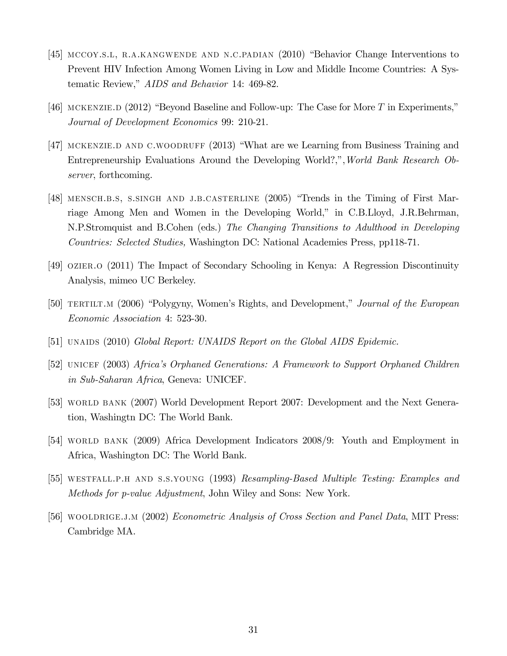- [45] mccoy.s.l, r.a.kangwende and n.c.padian (2010) "Behavior Change Interventions to Prevent HIV Infection Among Women Living in Low and Middle Income Countries: A Systematic Review," *AIDS and Behavior* 14: 469-82.
- [46] MCKENZIE.D  $(2012)$  "Beyond Baseline and Follow-up: The Case for More T in Experiments," *Journal of Development Economics* 99: 210-21.
- [47] MCKENZIE.D AND C.WOODRUFF (2013) "What are we Learning from Business Training and Entrepreneurship Evaluations Around the Developing World?,",*World Bank Research Observer*, forthcoming.
- [48] mensch.b.s, s.singh and j.b.casterline (2005) "Trends in the Timing of First Marriage Among Men and Women in the Developing World," in C.B.Lloyd, J.R.Behrman, N.P.Stromquist and B.Cohen (eds.) *The Changing Transitions to Adulthood in Developing Countries: Selected Studies,* Washington DC: National Academies Press, pp118-71.
- [49] ozier.o (2011) The Impact of Secondary Schooling in Kenya: A Regression Discontinuity Analysis, mimeo UC Berkeley.
- [50] TERTILT.M (2006) "Polygyny, Women's Rights, and Development," *Journal of the European Economic Association* 4: 523-30.
- [51] UNAIDS (2010) *Global Report: UNAIDS Report on the Global AIDS Epidemic.*
- [52] UNICEF (2003) *Africa's Orphaned Generations: A Framework to Support Orphaned Children in Sub-Saharan Africa*, Geneva: UNICEF.
- [53] world bank (2007) World Development Report 2007: Development and the Next Generation, Washingtn DC: The World Bank.
- [54] WORLD BANK (2009) Africa Development Indicators 2008/9: Youth and Employment in Africa, Washington DC: The World Bank.
- [55] westfall.p.h and s.s.young (1993) *Resampling-Based Multiple Testing: Examples and Methods for p-value Adjustment*, John Wiley and Sons: New York.
- [56] wooldrige.j.m (2002) *Econometric Analysis of Cross Section and Panel Data*, MIT Press: Cambridge MA.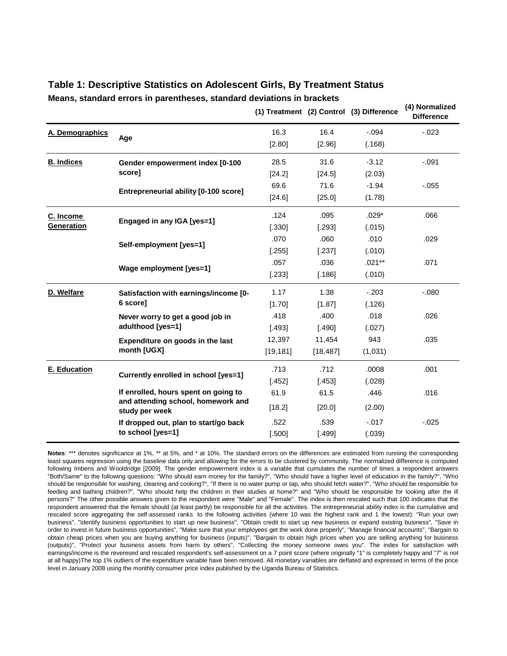|                     |                                                      |           |           | (1) Treatment (2) Control (3) Difference | (4) Normalized<br><b>Difference</b> |
|---------------------|------------------------------------------------------|-----------|-----------|------------------------------------------|-------------------------------------|
| A. Demographics     | Age                                                  | 16.3      | 16.4      | $-.094$                                  | $-.023$                             |
|                     |                                                      | [2.80]    | [2.96]    | (.168)                                   |                                     |
| <b>B. Indices</b>   | Gender empowerment index [0-100                      | 28.5      | 31.6      | $-3.12$                                  | $-.091$                             |
|                     | score]                                               | [24.2]    | [24.5]    | (2.03)                                   |                                     |
|                     |                                                      | 69.6      | 71.6      | $-1.94$                                  | $-0.055$                            |
|                     | Entrepreneurial ability [0-100 score]                | [24.6]    | [25.0]    | (1.78)                                   |                                     |
| C. Income           | Engaged in any IGA [yes=1]                           | .124      | .095      | $.029*$                                  | .066                                |
| <b>Generation</b>   |                                                      | [.330]    | [.293]    | (.015)                                   |                                     |
|                     | Self-employment [yes=1]                              | .070      | .060      | .010                                     | .029                                |
|                     |                                                      | [.255]    | [.237]    | (.010)                                   |                                     |
|                     | Wage employment [yes=1]                              | .057      | .036      | $.021***$                                | .071                                |
|                     |                                                      | [.233]    | [.186]    | (.010)                                   |                                     |
| D. Welfare          | Satisfaction with earnings/income [0-                | 1.17      | 1.38      | $-.203$                                  | $-080$                              |
|                     | 6 score]                                             | [1.70]    | [1.87]    | (.126)                                   |                                     |
|                     | Never worry to get a good job in                     | .418      | .400      | .018                                     | .026                                |
|                     | adulthood [yes=1]                                    | [.493]    | [.490]    | (.027)                                   |                                     |
|                     | Expenditure on goods in the last                     | 12,397    | 11,454    | 943                                      | .035                                |
|                     | month [UGX]                                          | [19, 181] | [18, 487] | (1,031)                                  |                                     |
| <b>E. Education</b> | Currently enrolled in school [yes=1]                 | .713      | .712      | .0008                                    | .001                                |
|                     |                                                      | [.452]    | [.453]    | (.028)                                   |                                     |
|                     | If enrolled, hours spent on going to                 | 61.9      | 61.5      | .446                                     | .016                                |
|                     | and attending school, homework and<br>study per week | [18.2]    | [20.0]    | (2.00)                                   |                                     |
|                     | If dropped out, plan to start/go back                | .522      | .539      | $-.017$                                  | $-0.025$                            |
|                     | to school [yes=1]                                    | [.500]    | [.499]    | (.039)                                   |                                     |

### **Table 1: Descriptive Statistics on Adolescent Girls, By Treatment Status Means, standard errors in parentheses, standard deviations in brackets**

**Notes**: \*\*\* denotes significance at 1%, \*\* at 5%, and \* at 10%. The standard errors on the differences are estimated from running the corresponding least squares regression using the baseline data only and allowing for the errors to be clustered by community. The normalized difference is computed following Imbens and Wooldridge [2009]. The gender empowerment index is a variable that cumulates the number of times a respondent answers "Both/Same" to the following questions: "Who should earn money for the family?", "Who should have a higher level of education in the family?", "Who should be responsible for washing, cleaning and cooking?", "If there is no water pump or tap, who should fetch water?", "Who should be responsible for feeding and bathing children?", "Who should help the children in their studies at home?" and "Who should be responsible for looking after the ill persons?" The other possible answers given to the respondent were "Male" and "Female". The index is then rescaled such that 100 indicates that the respondent answered that the female should (at least partly) be responsible for all the activities. The entrepreneurial ability index is the cumulative and rescaled score aggregating the self-assessed ranks to the following activities (where 10 was the highest rank and 1 the lowest): "Run your own business", "Identify business opportunities to start up new business", "Obtain credit to start up new business or expand existing business", "Save in order to invest in future business opportunities", "Make sure that your employees get the work done properly", "Manage financial accounts", "Bargain to obtain cheap prices when you are buying anything for business (inputs)", "Bargain to obtain high prices when you are selling anything for business (outputs)", "Protect your business assets from harm by others", "Collecting the money someone owes you". The index for satisfaction with earnings/income is the reveresed and rescaled respondent's self-assessment on a 7 point score (where originally "1" is completely happy and "7" is not at all happy)The top 1% outliers of the expenditure variable have been removed. All monetary variables are deflated and expressed in terms of the price level in January 2008 using the monthly consumer price index published by the Uganda Bureau of Statistics.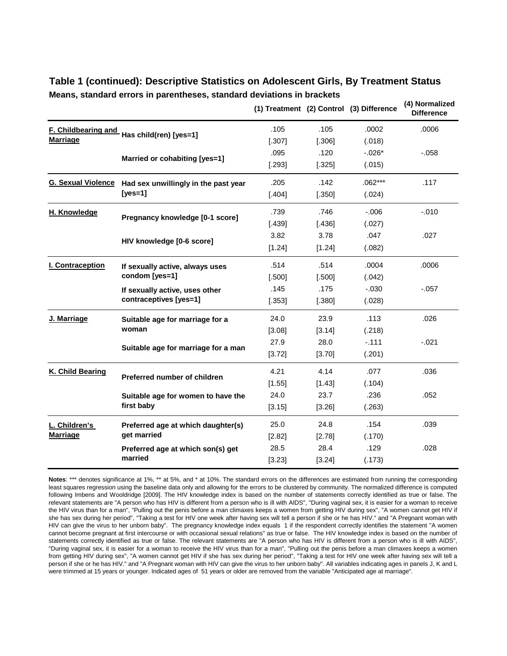|                            |                                      |        |        | (1) Treatment (2) Control (3) Difference | (4) Normalized<br><b>Difference</b> |
|----------------------------|--------------------------------------|--------|--------|------------------------------------------|-------------------------------------|
| <b>F. Childbearing and</b> | Has child(ren) [yes=1]               | .105   | .105   | .0002                                    | .0006                               |
| <b>Marriage</b>            |                                      | [.307] | [.306] | (.018)                                   |                                     |
|                            |                                      | .095   | .120   | $-.026*$                                 | $-0.058$                            |
|                            | Married or cohabiting [yes=1]        | [.293] | [.325] | (.015)                                   |                                     |
| <b>G. Sexual Violence</b>  | Had sex unwillingly in the past year | .205   | .142   | $.062***$                                | .117                                |
|                            | $[yes=1]$                            | [.404] | [.350] | (.024)                                   |                                     |
| H. Knowledge               | Pregnancy knowledge [0-1 score]      | .739   | .746   | $-0.06$                                  | $-.010$                             |
|                            |                                      | [.439] | [.436] | (.027)                                   |                                     |
|                            | HIV knowledge [0-6 score]            | 3.82   | 3.78   | .047                                     | .027                                |
|                            |                                      | [1.24] | [1.24] | (.082)                                   |                                     |
| I. Contraception           | If sexually active, always uses      | .514   | .514   | .0004                                    | .0006                               |
|                            | condom [yes=1]                       | [.500] | [.500] | (.042)                                   |                                     |
|                            | If sexually active, uses other       | .145   | .175   | $-0.030$                                 | $-.057$                             |
|                            | contraceptives [yes=1]               | [.353] | [.380] | (.028)                                   |                                     |
| J. Marriage                | Suitable age for marriage for a      | 24.0   | 23.9   | .113                                     | .026                                |
|                            | woman                                | [3.08] | [3.14] | (.218)                                   |                                     |
|                            | Suitable age for marriage for a man  | 27.9   | 28.0   | $-.111$                                  | $-.021$                             |
|                            |                                      | [3.72] | [3.70] | (.201)                                   |                                     |
| K. Child Bearing           | Preferred number of children         | 4.21   | 4.14   | .077                                     | .036                                |
|                            |                                      | [1.55] | [1.43] | (.104)                                   |                                     |
|                            | Suitable age for women to have the   | 24.0   | 23.7   | .236                                     | .052                                |
|                            | first baby                           | [3.15] | [3.26] | (.263)                                   |                                     |
| L. Children's              | Preferred age at which daughter(s)   | 25.0   | 24.8   | .154                                     | .039                                |
| <b>Marriage</b>            | get married                          | [2.82] | [2.78] | (.170)                                   |                                     |
|                            | Preferred age at which son(s) get    | 28.5   | 28.4   | .129                                     | .028                                |
|                            | married                              | [3.23] | [3.24] | (.173)                                   |                                     |

### **Table 1 (continued): Descriptive Statistics on Adolescent Girls, By Treatment Status**

**Means, standard errors in parentheses, standard deviations in brackets**

**Notes**: \*\*\* denotes significance at 1%, \*\* at 5%, and \* at 10%. The standard errors on the differences are estimated from running the corresponding least squares regression using the baseline data only and allowing for the errors to be clustered by community. The normalized difference is computed following Imbens and Wooldridge [2009]. The HIV knowledge index is based on the number of statements correctly identified as true or false. The relevant statements are "A person who has HIV is different from a person who is ill with AIDS", "During vaginal sex, it is easier for a woman to receive the HIV virus than for a man", "Pulling out the penis before a man climaxes keeps a women from getting HIV during sex", "A women cannot get HIV if she has sex during her period", "Taking a test for HIV one week after having sex will tell a person if she or he has HIV." and "A Pregnant woman with HIV can give the virus to her unborn baby". The pregnancy knowledge index equals 1 if the respondent correctly identifies the statement "A women cannot become pregnant at first intercourse or with occasional sexual relations" as true or false. The HIV knowledge index is based on the number of statements correctly identified as true or false. The relevant statements are "A person who has HIV is different from a person who is ill with AIDS", "During vaginal sex, it is easier for a woman to receive the HIV virus than for a man", "Pulling out the penis before a man climaxes keeps a women from getting HIV during sex", "A women cannot get HIV if she has sex during her period", "Taking a test for HIV one week after having sex will tell a person if she or he has HIV." and "A Pregnant woman with HIV can give the virus to her unborn baby". All variables indicating ages in panels J, K and L were trimmed at 15 years or younger. Indicated ages of 51 years or older are removed from the variable "Anticipated age at marriage".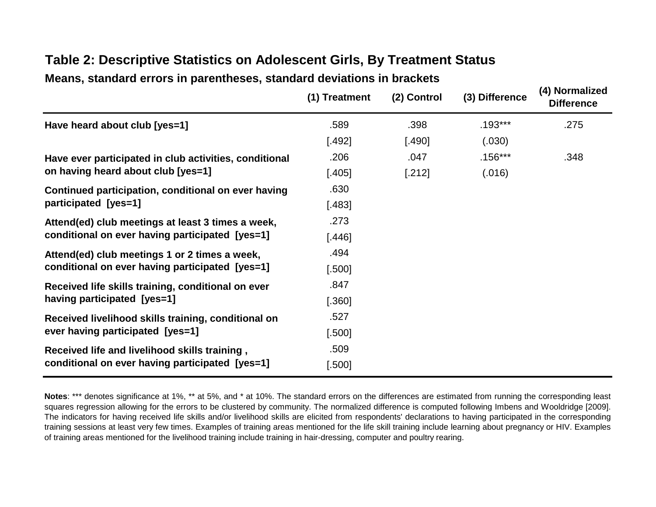|                                                        | (1) Treatment | (2) Control | (3) Difference | (4) Normalized<br><b>Difference</b> |
|--------------------------------------------------------|---------------|-------------|----------------|-------------------------------------|
| Have heard about club [yes=1]                          | .589          | .398        | $.193***$      | .275                                |
|                                                        | $[.492]$      | [.490]      | (.030)         |                                     |
| Have ever participated in club activities, conditional | .206          | .047        | $.156***$      | .348                                |
| on having heard about club [yes=1]                     | $[.405]$      | [.212]      | (.016)         |                                     |
| Continued participation, conditional on ever having    | .630          |             |                |                                     |
| participated [yes=1]                                   | $[.483]$      |             |                |                                     |
| Attend(ed) club meetings at least 3 times a week,      | .273          |             |                |                                     |
| conditional on ever having participated [yes=1]        | [.446]        |             |                |                                     |
| Attend(ed) club meetings 1 or 2 times a week,          | .494          |             |                |                                     |
| conditional on ever having participated [yes=1]        | $[.500]$      |             |                |                                     |
| Received life skills training, conditional on ever     | .847          |             |                |                                     |
| having participated [yes=1]                            | $[.360]$      |             |                |                                     |
| Received livelihood skills training, conditional on    | .527          |             |                |                                     |
| ever having participated [yes=1]                       | $[.500]$      |             |                |                                     |
| Received life and livelihood skills training,          | .509          |             |                |                                     |
| conditional on ever having participated [yes=1]        | [.500]        |             |                |                                     |

## **Table 2: Descriptive Statistics on Adolescent Girls, By Treatment Status**

**Means, standard errors in parentheses, standard deviations in brackets**

**Notes**: \*\*\* denotes significance at 1%, \*\* at 5%, and \* at 10%. The standard errors on the differences are estimated from running the corresponding least squares regression allowing for the errors to be clustered by community. The normalized difference is computed following Imbens and Wooldridge [2009]. The indicators for having received life skills and/or livelihood skills are elicited from respondents' declarations to having participated in the corresponding training sessions at least very few times. Examples of training areas mentioned for the life skill training include learning about pregnancy or HIV. Examples of training areas mentioned for the livelihood training include training in hair-dressing, computer and poultry rearing.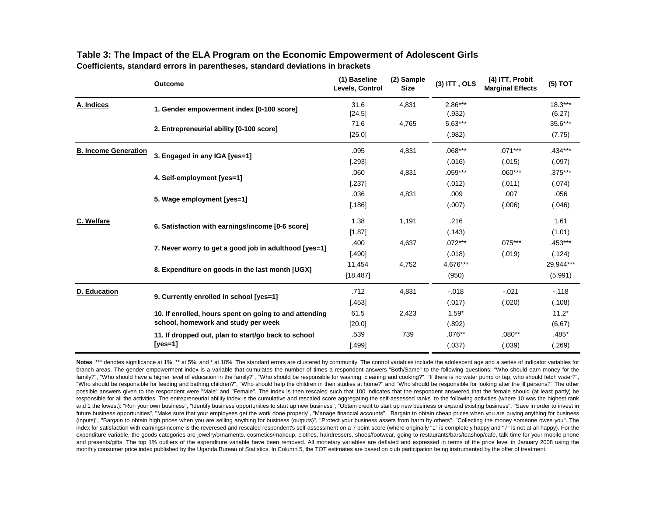|                             | <b>Outcome</b>                                                                                | (1) Baseline<br>Levels, Control | (2) Sample<br><b>Size</b> | $(3)$ ITT, OLS      | (4) ITT, Probit<br><b>Marginal Effects</b> | (5) TOT              |
|-----------------------------|-----------------------------------------------------------------------------------------------|---------------------------------|---------------------------|---------------------|--------------------------------------------|----------------------|
| A. Indices                  | 1. Gender empowerment index [0-100 score]                                                     | 31.6<br>[24.5]                  | 4,831                     | $2.86***$<br>(.932) |                                            | $18.3***$<br>(6.27)  |
|                             | 2. Entrepreneurial ability [0-100 score]                                                      | 71.6<br>[25.0]                  | 4,765                     | 5.63***<br>(.982)   |                                            | 35.6***<br>(7.75)    |
| <b>B. Income Generation</b> | 3. Engaged in any IGA [yes=1]                                                                 | .095<br>$[.293]$                | 4,831                     | $.068***$<br>(.016) | $.071***$<br>(.015)                        | $.434***$<br>(.097)  |
|                             | 4. Self-employment [yes=1]                                                                    | .060<br>$[.237]$                | 4,831                     | .059***<br>(.012)   | $.060***$<br>(.011)                        | .375***<br>(.074)    |
|                             | 5. Wage employment [yes=1]                                                                    | .036<br>[.186]                  | 4,831                     | .009<br>(.007)      | .007<br>(.006)                             | .056<br>(.046)       |
| C. Welfare                  | 6. Satisfaction with earnings/income [0-6 score]                                              | 1.38<br>[1.87]                  | 1,191                     | .216<br>(.143)      |                                            | 1.61<br>(1.01)       |
|                             | 7. Never worry to get a good job in adulthood [yes=1]                                         | .400<br>[.490]                  | 4,637                     | $.072***$<br>(.018) | $.075***$<br>(.019)                        | .453***<br>(.124)    |
|                             | 8. Expenditure on goods in the last month [UGX]                                               | 11,454<br>[18, 487]             | 4,752                     | 4,676***<br>(950)   |                                            | 29,944***<br>(5,991) |
| D. Education                | 9. Currently enrolled in school [yes=1]                                                       | .712<br>[.453]                  | 4,831                     | $-.018$<br>(.017)   | $-.021$<br>(.020)                          | $-118$<br>(.108)     |
|                             | 10. If enrolled, hours spent on going to and attending<br>school, homework and study per week | 61.5<br>[20.0]                  | 2,423                     | $1.59*$<br>(.892)   |                                            | $11.2*$<br>(6.67)    |
|                             | 11. If dropped out, plan to start/go back to school<br>[yes=1]                                | .539<br>[.499]                  | 739                       | $.076**$<br>(.037)  | $.080**$<br>(.039)                         | .485*<br>(.269)      |

### **Table 3: The Impact of the ELA Program on the Economic Empowerment of Adolescent Girls**

**Coefficients, standard errors in parentheses, standard deviations in brackets**

Notes: \*\*\* denotes significance at 1%, \*\* at 5%, and \* at 10%. The standard errors are clustered by community. The control variables include the adolescent age and a series of indicator variables for branch areas. The gender empowerment index is a variable that cumulates the number of times a respondent answers "Both/Same" to the following questions: "Who should earn money for the family?", "Who should have a higher level of education in the family?", "Who should be responsible for washing, cleaning and cooking?", "If there is no water pump or tap, who should fetch water?", "Who should be responsible for feeding and bathing children?", "Who should help the children in their studies at home?" and "Who should be responsible for looking after the ill persons?" The other possible answers given to the respondent were "Male" and "Female". The index is then rescaled such that 100 indicates that the respondent answered that the female should (at least partly) be responsible for all the activities. The entrepreneurial ability index is the cumulative and rescaled score aggregating the self-assessed ranks to the following activities (where 10 was the highest rank and 1 the lowest): "Run your own business", "Identify business opportunities to start up new business", "Obtain credit to start up new business or expand existing business", "Save in order to invest in future business opportunities", "Make sure that your employees get the work done properly", "Manage financial accounts", "Bargain to obtain cheap prices when you are buying anything for business (inputs)", "Bargain to obtain high prices when you are selling anything for business (outputs)", "Protect your business assets from harm by others", "Collecting the money someone owes you". The index for satisfaction with earnings/income is the reveresed and rescaled respondent's self-assessment on a 7 point score (where originally "1" is completely happy and "7" is not at all happy). For the expenditure variable, the goods categories are jewelry/ornaments, cosmetics/makeup, clothes, hairdressers, shoes/footwear, going to restaurants/bars/teashop/cafe, talk time for your mobile phone and presents/gifts. The top 1% outliers of the expenditure variable have been removed. All monetary variables are deflated and expressed in terms of the price level in January 2008 using the monthly consumer price index published by the Uganda Bureau of Statistics. In Column 5, the TOT estimates are based on club participation being instrumented by the offer of treatment.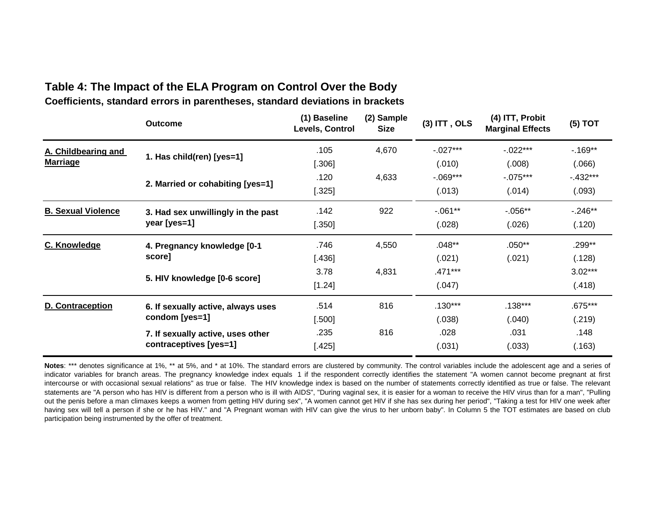### **Coefficients, standard errors in parentheses, standard deviations in brackets Table 4: The Impact of the ELA Program on Control Over the Body**

|                           | <b>Outcome</b>                     | (1) Baseline<br>Levels, Control | (2) Sample<br><b>Size</b> | $(3)$ ITT, OLS | (4) ITT, Probit<br><b>Marginal Effects</b> | $(5)$ TOT |
|---------------------------|------------------------------------|---------------------------------|---------------------------|----------------|--------------------------------------------|-----------|
| A. Childbearing and       | 1. Has child(ren) [yes=1]          | .105                            | 4,670                     | $-.027***$     | $-022***$                                  | $-169**$  |
| <b>Marriage</b>           |                                    | $[.306]$                        |                           | (.010)         | (0.008)                                    | (0.066)   |
|                           |                                    | .120                            | 4,633                     | $-0.069***$    | $-075***$                                  | $-432***$ |
|                           | 2. Married or cohabiting [yes=1]   | $[.325]$                        |                           | (.013)         | (.014)                                     | (.093)    |
| <b>B. Sexual Violence</b> | 3. Had sex unwillingly in the past | .142                            | 922                       | $-0.061**$     | $-0.056**$                                 | $-246**$  |
|                           | year [yes=1]                       | [.350]                          |                           | (.028)         | (.026)                                     | (.120)    |
| C. Knowledge              | 4. Pregnancy knowledge [0-1        | .746                            | 4,550                     | $.048**$       | $.050**$                                   | .299**    |
|                           | score]                             | $[.436]$                        |                           | (.021)         | (.021)                                     | (.128)    |
|                           |                                    | 3.78                            | 4,831                     | .471***        |                                            | $3.02***$ |
|                           | 5. HIV knowledge [0-6 score]       | [1.24]                          |                           | (.047)         |                                            | (.418)    |
| <b>D. Contraception</b>   | 6. If sexually active, always uses | .514                            | 816                       | $.130***$      | $.138***$                                  | .675***   |
|                           | condom [yes=1]                     | [.500]                          |                           | (.038)         | (.040)                                     | (.219)    |
|                           | 7. If sexually active, uses other  | .235                            | 816                       | .028           | .031                                       | .148      |
|                           | contraceptives [yes=1]             | $[.425]$                        |                           | (.031)         | (.033)                                     | (.163)    |

Notes: \*\*\* denotes significance at 1%, \*\* at 5%, and \* at 10%. The standard errors are clustered by community. The control variables include the adolescent age and a series of indicator variables for branch areas. The pregnancy knowledge index equals 1 if the respondent correctly identifies the statement "A women cannot become pregnant at first intercourse or with occasional sexual relations" as true or false. The HIV knowledge index is based on the number of statements correctly identified as true or false. The relevant statements are "A person who has HIV is different from a person who is ill with AIDS", "During vaginal sex, it is easier for a woman to receive the HIV virus than for a man", "Pulling out the penis before a man climaxes keeps a women from getting HIV during sex", "A women cannot get HIV if she has sex during her period", "Taking a test for HIV one week after having sex will tell a person if she or he has HIV." and "A Pregnant woman with HIV can give the virus to her unborn baby". In Column 5 the TOT estimates are based on club participation being instrumented by the offer of treatment.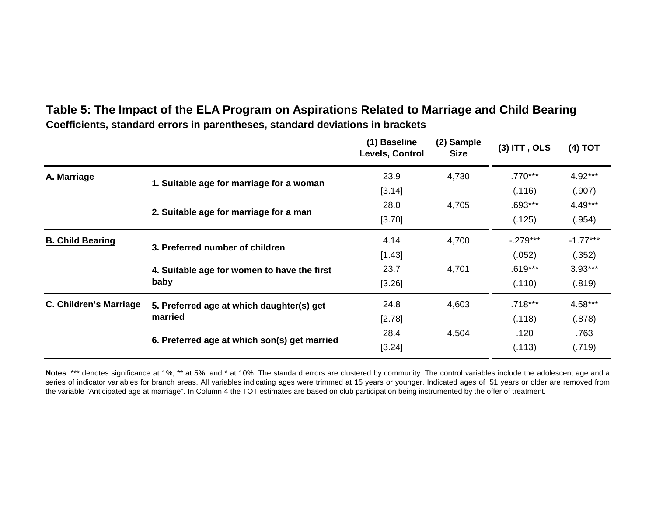## **Coefficients, standard errors in parentheses, standard deviations in brackets Table 5: The Impact of the ELA Program on Aspirations Related to Marriage and Child Bearing**

|                         |                                                                                | (1) Baseline<br>Levels, Control | (2) Sample<br><b>Size</b> | $(3)$ ITT, OLS | (4) TOT    |
|-------------------------|--------------------------------------------------------------------------------|---------------------------------|---------------------------|----------------|------------|
| A. Marriage             | 1. Suitable age for marriage for a woman                                       | 23.9                            | 4,730                     | $.770***$      | $4.92***$  |
|                         |                                                                                | [3.14]                          |                           | (.116)         | (.907)     |
|                         | 2. Suitable age for marriage for a man                                         | 28.0                            | 4,705                     | .693***        | 4.49***    |
|                         |                                                                                | [3.70]                          |                           | (.125)         | (.954)     |
| <b>B. Child Bearing</b> | 3. Preferred number of children<br>4. Suitable age for women to have the first | 4.14                            | 4,700                     | $-0.279***$    | $-1.77***$ |
|                         |                                                                                | [1.43]                          |                           | (.052)         | (.352)     |
|                         |                                                                                | 23.7<br>4,701                   |                           | $.619***$      | $3.93***$  |
|                         | baby                                                                           | [3.26]                          |                           |                | (.819)     |
| C. Children's Marriage  | 5. Preferred age at which daughter(s) get                                      | 24.8                            | 4,603                     | .718***        | $4.58***$  |
|                         | married                                                                        | [2.78]                          |                           | (.118)         | (.878)     |
|                         | 6. Preferred age at which son(s) get married                                   | 28.4                            | 4,504                     | .120           | .763       |
|                         |                                                                                | [3.24]                          |                           | (.113)         | (.719)     |

Notes: \*\*\* denotes significance at 1%, \*\* at 5%, and \* at 10%. The standard errors are clustered by community. The control variables include the adolescent age and a series of indicator variables for branch areas. All variables indicating ages were trimmed at 15 years or younger. Indicated ages of 51 years or older are removed from the variable "Anticipated age at marriage". In Column 4 the TOT estimates are based on club participation being instrumented by the offer of treatment.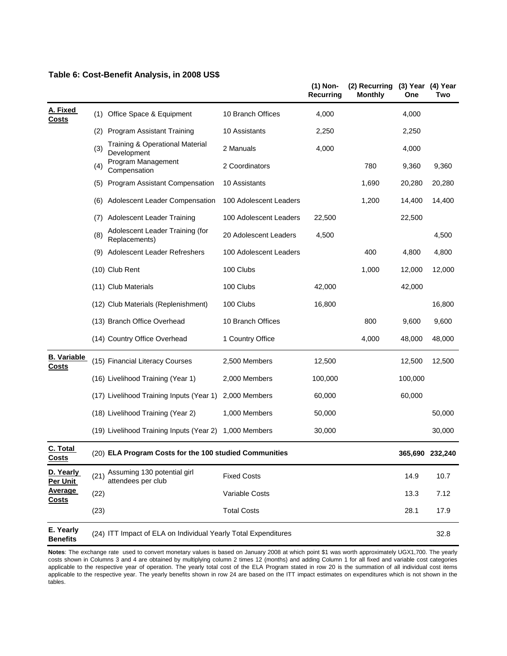|                                                                                                                                                        |                                   |                                                                |                        | (1) Non-<br><b>Recurring</b> | (2) Recurring<br><b>Monthly</b> | (3) Year (4) Year<br>One | Two     |
|--------------------------------------------------------------------------------------------------------------------------------------------------------|-----------------------------------|----------------------------------------------------------------|------------------------|------------------------------|---------------------------------|--------------------------|---------|
| A. Fixed                                                                                                                                               | (1)                               | Office Space & Equipment                                       | 10 Branch Offices      | 4,000                        |                                 | 4,000                    |         |
|                                                                                                                                                        | (2)                               | <b>Program Assistant Training</b>                              | 10 Assistants          | 2,250                        |                                 | 2,250                    |         |
|                                                                                                                                                        | (3)                               | <b>Training &amp; Operational Material</b><br>Development      | 2 Manuals              | 4,000                        |                                 | 4,000                    |         |
|                                                                                                                                                        | (4)                               | Program Management<br>Compensation                             | 2 Coordinators         |                              | 780                             | 9,360                    | 9,360   |
|                                                                                                                                                        | (5)                               | <b>Program Assistant Compensation</b>                          | 10 Assistants          |                              | 1,690                           | 20,280                   | 20,280  |
|                                                                                                                                                        | (6)                               | Adolescent Leader Compensation                                 | 100 Adolescent Leaders |                              | 1,200                           | 14,400                   | 14,400  |
| <b>Costs</b><br>(7)<br>(8)<br>(9)<br><b>B. Variable</b><br><b>Costs</b><br>C. Total<br><u>Costs</u><br>D. Yearly<br>(21)<br>Per Unit<br><b>Average</b> | <b>Adolescent Leader Training</b> | 100 Adolescent Leaders                                         | 22,500                 |                              | 22,500                          |                          |         |
|                                                                                                                                                        |                                   | Adolescent Leader Training (for<br>Replacements)               | 20 Adolescent Leaders  | 4,500                        |                                 |                          | 4,500   |
|                                                                                                                                                        |                                   | Adolescent Leader Refreshers                                   | 100 Adolescent Leaders |                              | 400                             | 4,800                    | 4,800   |
|                                                                                                                                                        |                                   | (10) Club Rent                                                 | 100 Clubs              |                              | 1,000                           | 12,000                   | 12,000  |
|                                                                                                                                                        |                                   | (11) Club Materials                                            | 100 Clubs              | 42,000                       |                                 | 42,000                   |         |
|                                                                                                                                                        |                                   | (12) Club Materials (Replenishment)                            | 100 Clubs              | 16,800                       |                                 |                          | 16,800  |
|                                                                                                                                                        |                                   | (13) Branch Office Overhead                                    | 10 Branch Offices      |                              | 800                             | 9,600                    | 9,600   |
|                                                                                                                                                        |                                   | (14) Country Office Overhead                                   | 1 Country Office       |                              | 4,000                           | 48,000                   | 48,000  |
|                                                                                                                                                        |                                   | (15) Financial Literacy Courses                                | 2,500 Members          | 12,500                       |                                 | 12,500                   | 12,500  |
|                                                                                                                                                        |                                   | (16) Livelihood Training (Year 1)                              | 2,000 Members          | 100,000                      |                                 | 100,000                  |         |
|                                                                                                                                                        |                                   | (17) Livelihood Training Inputs (Year 1)                       | 2,000 Members          | 60,000                       |                                 | 60,000                   |         |
|                                                                                                                                                        |                                   | (18) Livelihood Training (Year 2)                              | 1,000 Members          | 50,000                       |                                 |                          | 50,000  |
|                                                                                                                                                        |                                   | (19) Livelihood Training Inputs (Year 2)                       | 1,000 Members          | 30,000                       |                                 |                          | 30,000  |
|                                                                                                                                                        |                                   | (20) ELA Program Costs for the 100 studied Communities         |                        |                              |                                 | 365,690                  | 232,240 |
|                                                                                                                                                        |                                   | Assuming 130 potential girl<br>attendees per club              | <b>Fixed Costs</b>     |                              |                                 | 14.9                     | 10.7    |
| <b>Costs</b>                                                                                                                                           | (22)                              |                                                                | Variable Costs         |                              |                                 | 13.3                     | 7.12    |
|                                                                                                                                                        | (23)                              |                                                                | <b>Total Costs</b>     |                              |                                 | 28.1                     | 17.9    |
| E. Yearly<br><b>Benefits</b>                                                                                                                           |                                   | (24) ITT Impact of ELA on Individual Yearly Total Expenditures |                        |                              |                                 |                          | 32.8    |

#### **Table 6: Cost-Benefit Analysis, in 2008 US\$**

**Notes**: The exchange rate used to convert monetary values is based on January 2008 at which point \$1 was worth approximately UGX1,700. The yearly costs shown in Columns 3 and 4 are obtained by multiplying column 2 times 12 (months) and adding Column 1 for all fixed and variable cost categories applicable to the respective year of operation. The yearly total cost of the ELA Program stated in row 20 is the summation of all individual cost items applicable to the respective year. The yearly benefits shown in row 24 are based on the ITT impact estimates on expenditures which is not shown in the tables.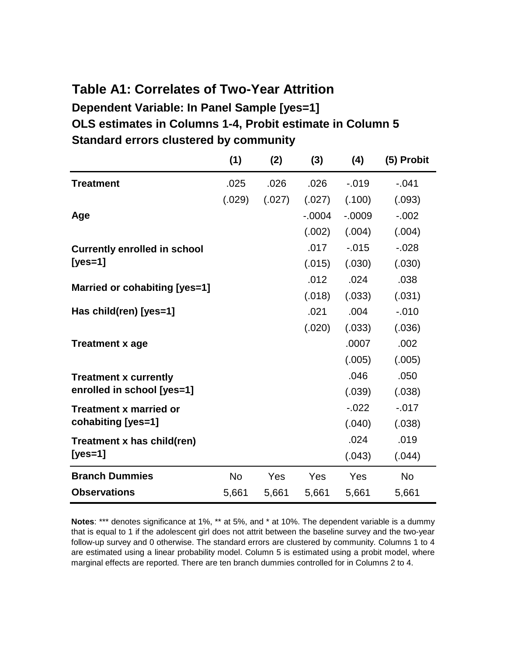## **Dependent Variable: In Panel Sample [yes=1] OLS estimates in Columns 1-4, Probit estimate in Column 5 Standard errors clustered by community Table A1: Correlates of Two-Year Attrition**

|                                     | (1)       | (2)    | (3)       | (4)       | (5) Probit |
|-------------------------------------|-----------|--------|-----------|-----------|------------|
| <b>Treatment</b>                    | .025      | .026   | .026      | $-0.019$  | $-.041$    |
|                                     | (.029)    | (.027) | (.027)    | (.100)    | (.093)     |
| Age                                 |           |        | $-0.0004$ | $-0.0009$ | $-0.002$   |
|                                     |           |        | (.002)    | (.004)    | (.004)     |
| <b>Currently enrolled in school</b> |           |        | .017      | $-0.015$  | $-0.028$   |
| [ $yes=1$ ]                         |           |        | (.015)    | (.030)    | (.030)     |
| Married or cohabiting [yes=1]       |           |        | .012      | .024      | .038       |
|                                     |           |        | (.018)    | (.033)    | (.031)     |
| Has child(ren) [yes=1]              |           |        | .021      | .004      | $-0.010$   |
|                                     |           |        | (.020)    | (.033)    | (.036)     |
| <b>Treatment x age</b>              |           |        |           | .0007     | .002       |
|                                     |           |        |           | (.005)    | (.005)     |
| <b>Treatment x currently</b>        |           |        |           | .046      | .050       |
| enrolled in school [yes=1]          |           |        |           | (.039)    | (.038)     |
| <b>Treatment x married or</b>       |           |        |           | $-0.022$  | $-0.017$   |
| cohabiting [yes=1]                  |           |        |           | (.040)    | (.038)     |
| Treatment x has child(ren)          |           |        |           | .024      | .019       |
| $[yes=1]$                           |           |        |           | (.043)    | (.044)     |
| <b>Branch Dummies</b>               | <b>No</b> | Yes    | Yes       | Yes       | <b>No</b>  |
| <b>Observations</b>                 | 5,661     | 5,661  | 5,661     | 5,661     | 5,661      |

**Notes**: \*\*\* denotes significance at 1%, \*\* at 5%, and \* at 10%. The dependent variable is a dummy that is equal to 1 if the adolescent girl does not attrit between the baseline survey and the two-year follow-up survey and 0 otherwise. The standard errors are clustered by community. Columns 1 to 4 are estimated using a linear probability model. Column 5 is estimated using a probit model, where marginal effects are reported. There are ten branch dummies controlled for in Columns 2 to 4.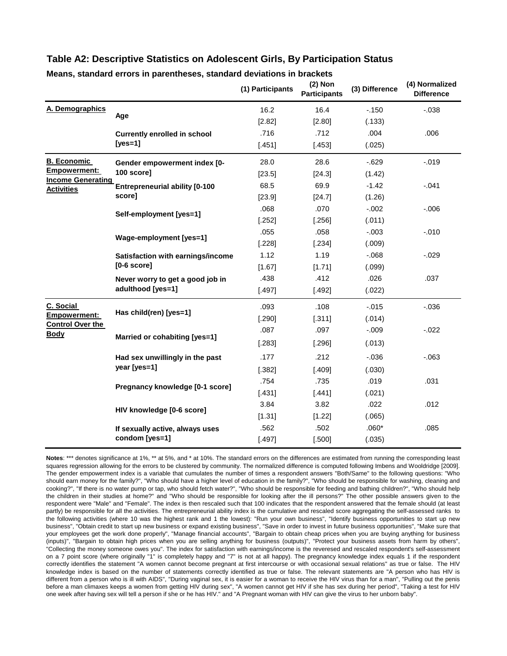#### **Table A2: Descriptive Statistics on Adolescent Girls, By Participation Status**

|                                          |                                       | (1) Participants | $(2)$ Non<br><b>Participants</b> | (3) Difference | (4) Normalized<br><b>Difference</b> |
|------------------------------------------|---------------------------------------|------------------|----------------------------------|----------------|-------------------------------------|
| A. Demographics                          | Age                                   | 16.2             | 16.4                             | $-150$         | $-0.038$                            |
|                                          |                                       | [2.82]           | [2.80]                           | (.133)         |                                     |
|                                          | <b>Currently enrolled in school</b>   | .716             | .712                             | .004           | .006                                |
|                                          | $[yes=1]$                             | [.451]           | [.453]                           | (.025)         |                                     |
| <b>B. Economic</b>                       | Gender empowerment index [0-          | 28.0             | 28.6                             | $-0.629$       | $-0.019$                            |
| Empowerment:<br><b>Income Generating</b> | 100 score]                            | [23.5]           | [24.3]                           | (1.42)         |                                     |
| <b>Activities</b>                        | <b>Entrepreneurial ability [0-100</b> | 68.5             | 69.9                             | $-1.42$        | $-.041$                             |
|                                          | score]                                | [23.9]           | [24.7]                           | (1.26)         |                                     |
|                                          | Self-employment [yes=1]               | .068             | .070                             | $-.002$        | $-0.006$                            |
|                                          |                                       | [.252]           | [.256]                           | (.011)         |                                     |
|                                          | Wage-employment [yes=1]               | .055             | .058                             | $-.003$        | $-0.010$                            |
|                                          |                                       | [.228]           | [.234]                           | (.009)         |                                     |
|                                          | Satisfaction with earnings/income     | 1.12             | 1.19                             | $-0.068$       | $-0.029$                            |
|                                          | $[0-6 \text{ score}]$                 | [1.67]           | [1.71]                           | (.099)         |                                     |
|                                          | Never worry to get a good job in      | .438             | .412                             | .026           | .037                                |
|                                          | adulthood [yes=1]                     | [.497]           | [.492]                           | (.022)         |                                     |
| C. Social                                | Has child(ren) [yes=1]                | .093             | .108                             | $-0.015$       | $-0.036$                            |
| Empowerment:<br><b>Control Over the</b>  |                                       | [.290]           | [.311]                           | (.014)         |                                     |
| <b>Body</b>                              | Married or cohabiting [yes=1]         | .087             | .097                             | $-0.09$        | $-0.022$                            |
|                                          |                                       | [.283]           | [.296]                           | (.013)         |                                     |
|                                          | Had sex unwillingly in the past       | .177             | .212                             | $-0.036$       | $-063$                              |
|                                          | year [yes=1]                          | [.382]           | [.409]                           | (.030)         |                                     |
|                                          |                                       | .754             | .735                             | .019           | .031                                |
|                                          | Pregnancy knowledge [0-1 score]       | [.431]           | [.441]                           | (.021)         |                                     |
|                                          |                                       | 3.84             | 3.82                             | .022           | .012                                |
|                                          | HIV knowledge [0-6 score]             | [1.31]           | [1.22]                           | (.065)         |                                     |
|                                          | If sexually active, always uses       | .562             | .502                             | $.060*$        | .085                                |
|                                          | condom [yes=1]                        | [.497]           | [.500]                           | (.035)         |                                     |

#### **Means, standard errors in parentheses, standard deviations in brackets**

Notes: \*\*\* denotes significance at 1%, \*\* at 5%, and \* at 10%. The standard errors on the differences are estimated from running the corresponding least squares regression allowing for the errors to be clustered by community. The normalized difference is computed following Imbens and Wooldridge [2009]. The gender empowerment index is a variable that cumulates the number of times a respondent answers "Both/Same" to the following questions: "Who should earn money for the family?", "Who should have a higher level of education in the family?", "Who should be responsible for washing, cleaning and cooking?", "If there is no water pump or tap, who should fetch water?", "Who should be responsible for feeding and bathing children?", "Who should help the children in their studies at home?" and "Who should be responsible for looking after the ill persons?" The other possible answers given to the respondent were "Male" and "Female". The index is then rescaled such that 100 indicates that the respondent answered that the female should (at least partly) be responsible for all the activities. The entrepreneurial ability index is the cumulative and rescaled score aggregating the self-assessed ranks to the following activities (where 10 was the highest rank and 1 the lowest): "Run your own business", "Identify business opportunities to start up new business", "Obtain credit to start up new business or expand existing business", "Save in order to invest in future business opportunities", "Make sure that your employees get the work done properly", "Manage financial accounts", "Bargain to obtain cheap prices when you are buying anything for business (inputs)", "Bargain to obtain high prices when you are selling anything for business (outputs)", "Protect your business assets from harm by others", "Collecting the money someone owes you". The index for satisfaction with earnings/income is the reveresed and rescaled respondent's self-assessment on a 7 point score (where originally "1" is completely happy and "7" is not at all happy). The pregnancy knowledge index equals 1 if the respondent correctly identifies the statement "A women cannot become pregnant at first intercourse or with occasional sexual relations" as true or false. The HIV knowledge index is based on the number of statements correctly identified as true or false. The relevant statements are "A person who has HIV is different from a person who is ill with AIDS", "During vaginal sex, it is easier for a woman to receive the HIV virus than for a man", "Pulling out the penis before a man climaxes keeps a women from getting HIV during sex", "A women cannot get HIV if she has sex during her period", "Taking a test for HIV one week after having sex will tell a person if she or he has HIV." and "A Pregnant woman with HIV can give the virus to her unborn baby".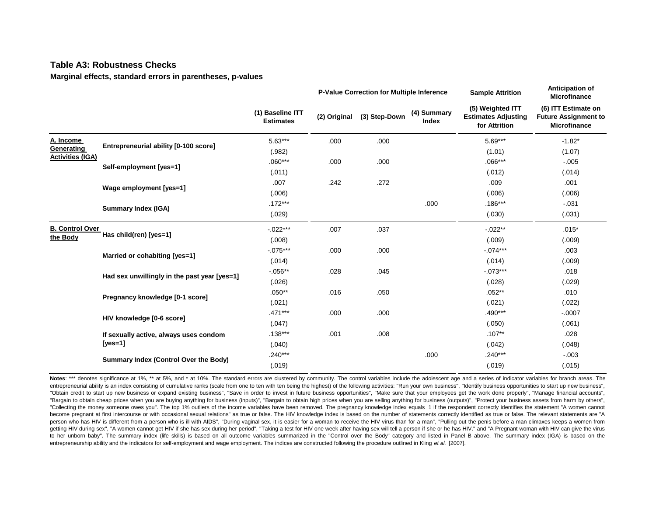#### **Table A3: Robustness Checks**

**Marginal effects, standard errors in parentheses, p-values**

|                         |                                              |                                      |              | P-Value Correction for Multiple Inference<br><b>Sample Attrition</b> |                             | Anticipation of<br>Microfinance                                 |                                                                           |
|-------------------------|----------------------------------------------|--------------------------------------|--------------|----------------------------------------------------------------------|-----------------------------|-----------------------------------------------------------------|---------------------------------------------------------------------------|
|                         |                                              | (1) Baseline ITT<br><b>Estimates</b> | (2) Original | (3) Step-Down                                                        | (4) Summary<br><b>Index</b> | (5) Weighted ITT<br><b>Estimates Adjusting</b><br>for Attrition | (6) ITT Estimate on<br><b>Future Assignment to</b><br><b>Microfinance</b> |
| A. Income               | Entrepreneurial ability [0-100 score]        | $5.63***$                            | .000         | .000                                                                 |                             | $5.69***$                                                       | $-1.82*$                                                                  |
| Generating              |                                              | (.982)                               |              |                                                                      |                             | (1.01)                                                          | (1.07)                                                                    |
| <b>Activities (IGA)</b> | Self-employment [yes=1]                      | $.060***$                            | .000         | .000                                                                 |                             | $.066***$                                                       | $-.005$                                                                   |
|                         |                                              | (.011)                               |              |                                                                      |                             | (.012)                                                          | (.014)                                                                    |
|                         | Wage employment [yes=1]                      | .007                                 | .242         | .272                                                                 |                             | .009                                                            | .001                                                                      |
|                         |                                              | (.006)                               |              |                                                                      |                             | (0.006)                                                         | (.006)                                                                    |
|                         | <b>Summary Index (IGA)</b>                   | $.172***$                            |              |                                                                      | .000                        | $.186***$                                                       | $-.031$                                                                   |
|                         |                                              | (.029)                               |              |                                                                      |                             | (.030)                                                          | (.031)                                                                    |
| <b>B. Control Over</b>  |                                              | $-0.022***$                          | .007         | .037                                                                 |                             | $-0.022**$                                                      | $.015*$                                                                   |
| the Body                | Has child(ren) [yes=1]                       | (.008)                               |              |                                                                      |                             | (.009)                                                          | (.009)                                                                    |
|                         | Married or cohabiting [yes=1]                | $-.075***$                           | .000         | .000                                                                 |                             | $-.074***$                                                      | .003                                                                      |
|                         |                                              | (.014)                               |              |                                                                      |                             | (.014)                                                          | (.009)                                                                    |
|                         | Had sex unwillingly in the past year [yes=1] | $-0.056**$                           | .028         | .045                                                                 |                             | $-0.073***$                                                     | .018                                                                      |
|                         |                                              | (.026)                               |              |                                                                      |                             | (.028)                                                          | (.029)                                                                    |
|                         | Pregnancy knowledge [0-1 score]              | $.050**$                             | .016         | .050                                                                 |                             | $.052***$                                                       | .010                                                                      |
|                         |                                              | (.021)                               |              |                                                                      |                             | (.021)                                                          | (.022)                                                                    |
|                         | HIV knowledge [0-6 score]                    | $.471***$                            | .000         | .000                                                                 |                             | .490***                                                         | $-.0007$                                                                  |
|                         |                                              | (.047)                               |              |                                                                      |                             | (.050)                                                          | (.061)                                                                    |
|                         | If sexually active, always uses condom       | $.138***$                            | .001         | .008                                                                 |                             | $.107**$                                                        | .028                                                                      |
|                         | [yes=1]                                      | (.040)                               |              |                                                                      |                             | (.042)                                                          | (.048)                                                                    |
|                         | Summary Index (Control Over the Body)        | $.240***$                            |              |                                                                      | .000                        | $.240***$                                                       | $-0.003$                                                                  |
|                         |                                              | (.019)                               |              |                                                                      |                             | (.019)                                                          | (.015)                                                                    |

Notes: \*\*\* denotes significance at 1%, \*\* at 5%, and \* at 10%. The standard errors are clustered by community. The control variables include the adolescent age and a series of indicator variables for branch areas. The entrepreneurial ability is an index consisting of cumulative ranks (scale from one to ten with ten being the highest) of the following activities: "Run your own business", "Identify business opportunities to start up new b "Obtain credit to start up new business or expand existing business", "Save in order to invest in future business opportunities", "Make sure that your employees get the work done properly", "Manage financial accounts", "Bargain to obtain cheap prices when you are buying anything for business (inputs)", "Bargain to obtain high prices when you are selling anything for business (outputs)", "Protect your business assets from harm by others", "Collecting the money someone owes you". The top 1% outliers of the income variables have been removed. The pregnancy knowledge index equals 1 if the respondent correctly identifies the statement "A women cannot become pregnant at first intercourse or with occasional sexual relations" as true or false. The HIV knowledge index is based on the number of statements correctly identified as true or false. The relevant statements are "A person who has HIV is different from a person who is ill with AIDS", "During vaginal sex, it is easier for a woman to receive the HIV virus than for a man", "Pulling out the penis before a man climaxes keeps a women from getting HIV during sex", "A women cannot get HIV if she has sex during her period", "Taking a test for HIV one week after having sex will tell a person if she or he has HIV." and "A Pregnant woman with HIV can give the vir to her unborn baby". The summary index (life skills) is based on all outcome variables summarized in the "Control over the Body" category and listed in Panel B above. The summary index (IGA) is based on the entrepreneurship ability and the indicators for self-employment and wage employment. The indices are constructed following the procedure outlined in Kling *et al.* [2007].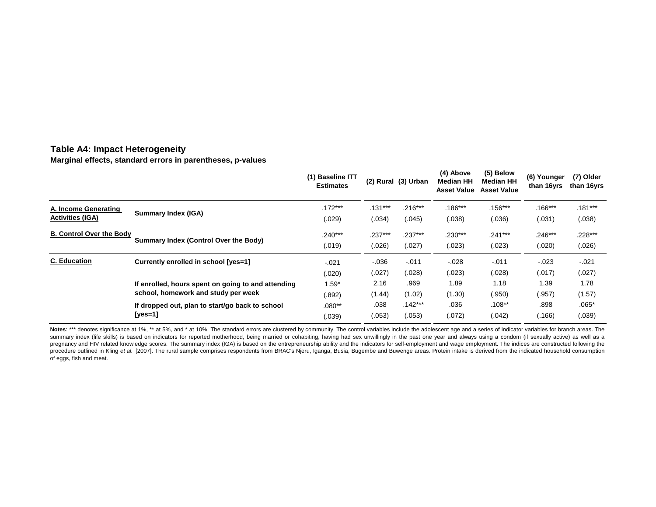#### **Table A4: Impact Heterogeneity**

**Marginal effects, standard errors in parentheses, p-values**

|                                 |                                                    | (1) Baseline ITT<br><b>Estimates</b> |           | (2) Rural (3) Urban | (4) Above<br><b>Median HH</b><br><b>Asset Value</b> | (5) Below<br>Median HH<br><b>Asset Value</b> | (6) Younger<br>than 16yrs | (7) Older<br>than 16yrs |
|---------------------------------|----------------------------------------------------|--------------------------------------|-----------|---------------------|-----------------------------------------------------|----------------------------------------------|---------------------------|-------------------------|
| A. Income Generating            | Summary Index (IGA)                                | $.172***$                            | $.131***$ | $.216***$           | $.186***$                                           | $.156***$                                    | $.166***$                 | $.181***$               |
| <b>Activities (IGA)</b>         |                                                    | (.029)                               | (.034)    | (.045)              | (.038)                                              | (.036)                                       | (.031)                    | (.038)                  |
| <b>B. Control Over the Body</b> | Summary Index (Control Over the Body)              | $.240***$                            | $.237***$ | $.237***$           | $.230***$                                           | $.241***$                                    | $.246***$                 | $.228***$               |
|                                 |                                                    | (.019)                               | (.026)    | (.027)              | (.023)                                              | (.023)                                       | (.020)                    | (.026)                  |
| <b>C.</b> Education             | Currently enrolled in school [yes=1]               | $-021$                               | $-0.36$   | $-.011$             | $-0.028$                                            | $-.011$                                      | $-023$                    | $-.021$                 |
|                                 |                                                    | (.020)                               | (.027)    | (.028)              | (.023)                                              | (.028)                                       | (.017)                    | (.027)                  |
|                                 | If enrolled, hours spent on going to and attending | $1.59*$                              | 2.16      | .969                | 1.89                                                | 1.18                                         | 1.39                      | 1.78                    |
|                                 | school, homework and study per week                | (.892)                               | (1.44)    | (1.02)              | (1.30)                                              | (.950)                                       | (.957)                    | (1.57)                  |
|                                 | If dropped out, plan to start/go back to school    | $.080**$                             | .038      | $.142***$           | .036                                                | $.108***$                                    | .898                      | $.065*$                 |
|                                 | [yes=1]                                            | (.039)                               | (.053)    | (.053)              | (.072)                                              | (.042)                                       | (.166)                    | (.039)                  |

Notes: \*\*\* denotes significance at 1%, \*\* at 5%, and \* at 10%. The standard errors are clustered by community. The control variables include the adolescent age and a series of indicator variables for branch areas. The summary index (life skills) is based on indicators for reported motherhood, being married or cohabiting, having had sex unwillingly in the past one year and always using a condom (if sexually active) as well as a pregnancy and HIV related knowledge scores. The summary index (IGA) is based on the entrepreneurship ability and the indicators for self-employment and wage employment. The indices are constructed following the procedure outlined in Kling et al. [2007]. The rural sample comprises respondents from BRAC's Njeru, Iganga, Busia, Bugembe and Buwenge areas. Protein intake is derived from the indicated household consumption of eggs, fish and meat.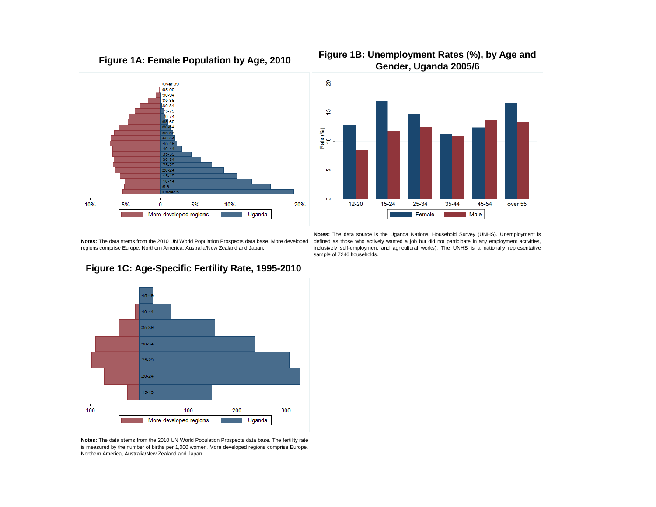





**Figure 1B: Unemployment Rates (%), by Age and**

**Notes:** The data stems from the 2010 UN World Population Prospects data base. More developed regions comprise Europe, Northern America, Australia/New Zealand and Japan.

**Notes:** The data source is the Uganda National Household Survey (UNHS). Unemployment is defined as those who actively wanted a job but did not participate in any employment activities, inclusively self-employment and agricultural works). The UNHS is a nationally representative sample of 7246 households.



#### **Figure 1C: Age-Specific Fertility Rate, 1995-2010**

**Notes:** The data stems from the 2010 UN World Population Prospects data base. The fertility rate is measured by the number of births per 1,000 women. More developed regions comprise Europe, Northern America, Australia/New Zealand and Japan.